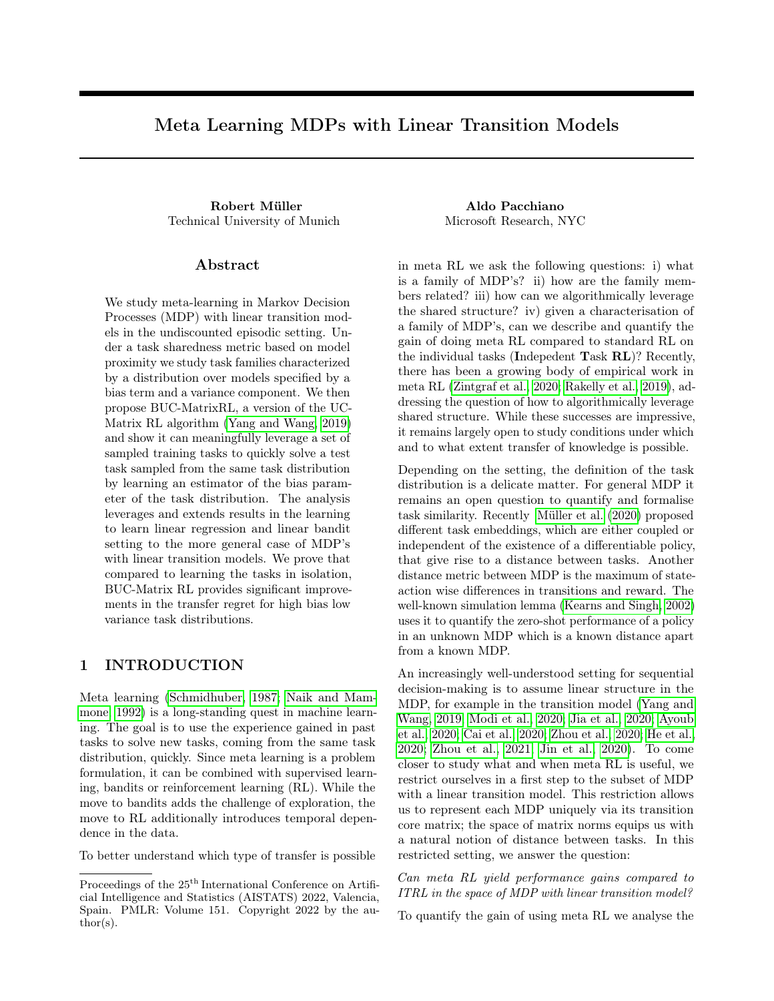# Meta Learning MDPs with Linear Transition Models

Robert Müller **Aldo Pacchiano** Technical University of Munich Microsoft Research, NYC

## Abstract

We study meta-learning in Markov Decision Processes (MDP) with linear transition models in the undiscounted episodic setting. Under a task sharedness metric based on model proximity we study task families characterized by a distribution over models specified by a bias term and a variance component. We then propose BUC-MatrixRL, a version of the UC-Matrix RL algorithm [\(Yang and Wang, 2019\)](#page-9-0) and show it can meaningfully leverage a set of sampled training tasks to quickly solve a test task sampled from the same task distribution by learning an estimator of the bias parameter of the task distribution. The analysis leverages and extends results in the learning to learn linear regression and linear bandit setting to the more general case of MDP's with linear transition models. We prove that compared to learning the tasks in isolation, BUC-Matrix RL provides significant improvements in the transfer regret for high bias low variance task distributions.

## 1 INTRODUCTION

Meta learning [\(Schmidhuber, 1987;](#page-9-1) [Naik and Mam](#page-9-2)[mone, 1992\)](#page-9-2) is a long-standing quest in machine learning. The goal is to use the experience gained in past tasks to solve new tasks, coming from the same task distribution, quickly. Since meta learning is a problem formulation, it can be combined with supervised learning, bandits or reinforcement learning (RL). While the move to bandits adds the challenge of exploration, the move to RL additionally introduces temporal dependence in the data.

To better understand which type of transfer is possible

in meta RL we ask the following questions: i) what is a family of MDP's? ii) how are the family members related? iii) how can we algorithmically leverage the shared structure? iv) given a characterisation of a family of MDP's, can we describe and quantify the gain of doing meta RL compared to standard RL on the individual tasks (Indepedent Task RL)? Recently, there has been a growing body of empirical work in meta RL [\(Zintgraf et al., 2020;](#page-9-3) [Rakelly et al., 2019\)](#page-9-4), addressing the question of how to algorithmically leverage shared structure. While these successes are impressive, it remains largely open to study conditions under which and to what extent transfer of knowledge is possible.

Depending on the setting, the definition of the task distribution is a delicate matter. For general MDP it remains an open question to quantify and formalise task similarity. Recently [Müller et al.](#page-9-5) [\(2020\)](#page-9-5) proposed different task embeddings, which are either coupled or independent of the existence of a differentiable policy, that give rise to a distance between tasks. Another distance metric between MDP is the maximum of stateaction wise differences in transitions and reward. The well-known simulation lemma [\(Kearns and Singh, 2002\)](#page-9-6) uses it to quantify the zero-shot performance of a policy in an unknown MDP which is a known distance apart from a known MDP.

An increasingly well-understood setting for sequential decision-making is to assume linear structure in the MDP, for example in the transition model [\(Yang and](#page-9-0) [Wang, 2019;](#page-9-0) [Modi et al., 2020;](#page-9-7) [Jia et al., 2020;](#page-8-0) [Ayoub](#page-8-1) [et al., 2020;](#page-8-1) [Cai et al., 2020;](#page-8-2) [Zhou et al., 2020;](#page-9-8) [He et al.,](#page-8-3) [2020;](#page-8-3) [Zhou et al., 2021;](#page-9-9) [Jin et al., 2020\)](#page-8-4). To come closer to study what and when meta RL is useful, we restrict ourselves in a first step to the subset of MDP with a linear transition model. This restriction allows us to represent each MDP uniquely via its transition core matrix; the space of matrix norms equips us with a natural notion of distance between tasks. In this restricted setting, we answer the question:

Can meta RL yield performance gains compared to ITRL in the space of MDP with linear transition model?

To quantify the gain of using meta RL we analyse the

Proceedings of the  $25^{\mathrm{th}}$  International Conference on Artificial Intelligence and Statistics (AISTATS) 2022, Valencia, Spain. PMLR: Volume 151. Copyright 2022 by the au- $\text{thor}(s)$ .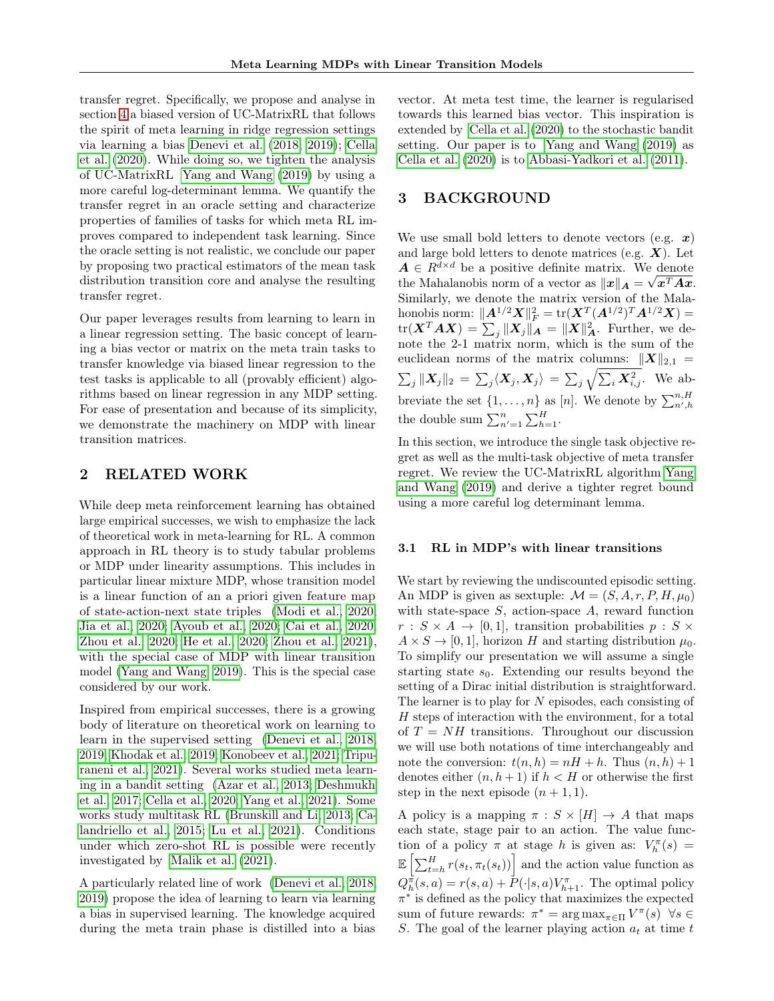transfer regret. Specifically, we propose and analyse in section [4](#page-3-0) a biased version of UC-MatrixRL that follows the spirit of meta learning in ridge regression settings via learning a bias [Denevi et al.](#page-8-5) [\(2018,](#page-8-5) [2019\)](#page-8-6); [Cella](#page-8-7) [et al.](#page-8-7) [\(2020\)](#page-8-7). While doing so, we tighten the analysis of UC-MatrixRL [Yang and Wang](#page-9-0) [\(2019\)](#page-9-0) by using a more careful log-determinant lemma. We quantify the transfer regret in an oracle setting and characterize properties of families of tasks for which meta RL improves compared to independent task learning. Since the oracle setting is not realistic, we conclude our paper by proposing two practical estimators of the mean task distribution transition core and analyse the resulting transfer regret.

Our paper leverages results from learning to learn in a linear regression setting. The basic concept of learning a bias vector or matrix on the meta train tasks to transfer knowledge via biased linear regression to the test tasks is applicable to all (provably efficient) algorithms based on linear regression in any MDP setting. For ease of presentation and because of its simplicity, we demonstrate the machinery on MDP with linear transition matrices.

## 2 RELATED WORK

While deep meta reinforcement learning has obtained large empirical successes, we wish to emphasize the lack of theoretical work in meta-learning for RL. A common approach in RL theory is to study tabular problems or MDP under linearity assumptions. This includes in particular linear mixture MDP, whose transition model is a linear function of an a priori given feature map of state-action-next state triples [\(Modi et al., 2020;](#page-9-7) [Jia et al., 2020;](#page-8-0) [Ayoub et al., 2020;](#page-8-1) [Cai et al., 2020;](#page-8-2) [Zhou et al., 2020;](#page-9-8) [He et al., 2020;](#page-8-3) [Zhou et al., 2021\)](#page-9-9), with the special case of MDP with linear transition model [\(Yang and Wang, 2019\)](#page-9-0). This is the special case considered by our work.

Inspired from empirical successes, there is a growing body of literature on theoretical work on learning to learn in the supervised setting [\(Denevi et al., 2018,](#page-8-5) [2019;](#page-8-6) [Khodak et al., 2019;](#page-9-10) [Konobeev et al., 2021;](#page-9-11) [Tripu](#page-9-12)[raneni et al., 2021\)](#page-9-12). Several works studied meta learning in a bandit setting [\(Azar et al., 2013;](#page-8-8) [Deshmukh](#page-8-9) [et al., 2017;](#page-8-9) [Cella et al., 2020;](#page-8-7) [Yang et al., 2021\)](#page-9-13). Some works study multitask RL [\(Brunskill and Li, 2013;](#page-8-10) [Ca](#page-8-11)[landriello et al., 2015;](#page-8-11) [Lu et al., 2021\)](#page-9-14). Conditions under which zero-shot RL is possible were recently investigated by [Malik et al.](#page-9-15) [\(2021\)](#page-9-15).

A particularly related line of work [\(Denevi et al., 2018,](#page-8-5) [2019\)](#page-8-6) propose the idea of learning to learn via learning a bias in supervised learning. The knowledge acquired during the meta train phase is distilled into a bias

vector. At meta test time, the learner is regularised towards this learned bias vector. This inspiration is extended by [Cella et al.](#page-8-7) [\(2020\)](#page-8-7) to the stochastic bandit setting. Our paper is to [Yang and Wang](#page-9-0) [\(2019\)](#page-9-0) as [Cella et al.](#page-8-7) [\(2020\)](#page-8-7) is to [Abbasi-Yadkori et al.](#page-8-12) [\(2011\)](#page-8-12).

## 3 BACKGROUND

We use small bold letters to denote vectors (e.g.  $x$ ) and large bold letters to denote matrices (e.g.  $\boldsymbol{X}$ ). Let  $A \in R^{d \times d}$  be a positive definite matrix. We denote the Mahalanobis norm of a vector as  $||x||_A = \sqrt{x^T A x}$ . Similarly, we denote the matrix version of the Malahonobis norm:  $||A^{1/2}X||_F^2 = \text{tr}(\boldsymbol{X}^T (A^{1/2})^T A^{1/2} \boldsymbol{X}) =$  $\text{tr}(\boldsymbol{X}^T \boldsymbol{A} \boldsymbol{X}) = \sum_j \|\boldsymbol{X}_j\|_{\boldsymbol{A}} = \|\boldsymbol{X}\|_{\boldsymbol{A}}^2.$  Further, we denote the 2-1 matrix norm, which is the sum of the euclidean norms of the matrix columns:  $||X||_{2,1} =$  $\sum_j \|\bm{X}_j\|_2 \,=\, \sum_j \langle \bm{X}_j, \bm{X}_j \rangle \,=\, \sum_j \sqrt{\sum_i \bm{X}_{i,j}^2}.$  We abbreviate the set  $\{1, \ldots, n\}$  as  $[n]$ . We denote by  $\sum_{n',h}^{n,H}$ the double sum  $\sum_{n'=1}^{n} \sum_{h=1}^{H}$ .

In this section, we introduce the single task objective regret as well as the multi-task objective of meta transfer regret. We review the UC-MatrixRL algorithm [Yang](#page-9-0) [and Wang](#page-9-0) [\(2019\)](#page-9-0) and derive a tighter regret bound using a more careful log determinant lemma.

#### 3.1 RL in MDP's with linear transitions

We start by reviewing the undiscounted episodic setting. An MDP is given as sextuple:  $\mathcal{M} = (S, A, r, P, H, \mu_0)$ with state-space  $S$ , action-space  $A$ , reward function  $r : S \times A \rightarrow [0,1]$ , transition probabilities  $p : S \times A$  $A \times S \rightarrow [0, 1]$ , horizon H and starting distribution  $\mu_0$ . To simplify our presentation we will assume a single starting state  $s_0$ . Extending our results beyond the setting of a Dirac initial distribution is straightforward. The learner is to play for  $N$  episodes, each consisting of H steps of interaction with the environment, for a total of  $T = NH$  transitions. Throughout our discussion we will use both notations of time interchangeably and note the conversion:  $t(n, h) = nH + h$ . Thus  $(n, h) + 1$ denotes either  $(n, h + 1)$  if  $h < H$  or otherwise the first step in the next episode  $(n + 1, 1)$ .

A policy is a mapping  $\pi : S \times [H] \rightarrow A$  that maps each state, stage pair to an action. The value function of a policy  $\pi$  at stage h is given as:  $V_h^{\pi}(s)$  =  $\mathbb{E}\left[\sum_{t=h}^{H} r(s_t, \pi_t(s_t))\right]$  and the action value function as  $Q_h^{\pi}(s, a) = r(s, a) + P(\cdot | s, a)V_{h+1}^{\pi}$ . The optimal policy  $\pi^*$  is defined as the policy that maximizes the expected sum of future rewards:  $\pi^* = \arg \max_{\pi \in \Pi} V^{\pi}(s)$   $\forall s \in$ S. The goal of the learner playing action  $a_t$  at time t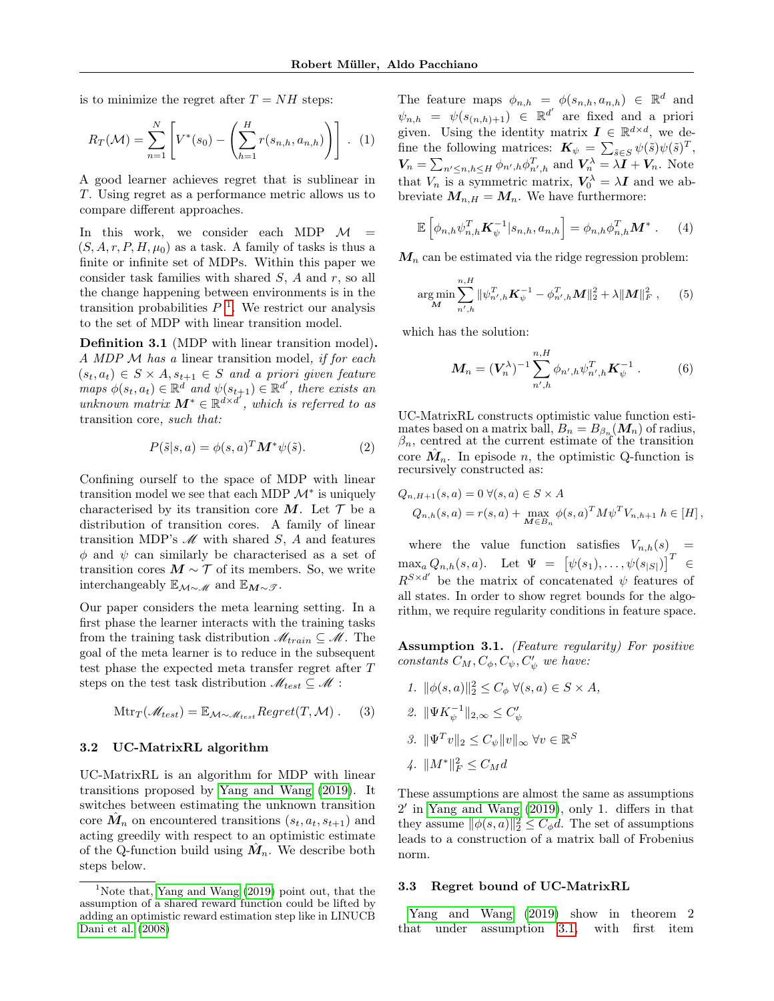is to minimize the regret after  $T = NH$  steps:

$$
R_T(\mathcal{M}) = \sum_{n=1}^{N} \left[ V^*(s_0) - \left( \sum_{h=1}^{H} r(s_{n,h}, a_{n,h}) \right) \right]. \tag{1}
$$

A good learner achieves regret that is sublinear in T. Using regret as a performance metric allows us to compare different approaches.

In this work, we consider each MDP  $\mathcal{M}$  =  $(S, A, r, P, H, \mu_0)$  as a task. A family of tasks is thus a finite or infinite set of MDPs. Within this paper we consider task families with shared  $S$ ,  $A$  and  $r$ , so all the change happening between environments is in the transition probabilities  $P<sup>1</sup>$  $P<sup>1</sup>$  $P<sup>1</sup>$ . We restrict our analysis to the set of MDP with linear transition model.

Definition 3.1 (MDP with linear transition model). A MDP M has a linear transition model, if for each  $(s_t, a_t) \in S \times A, s_{t+1} \in S$  and a priori given feature maps  $\phi(s_t, a_t) \in \mathbb{R}^d$  and  $\psi(s_{t+1}) \in \mathbb{R}^d'$ , there exists an unknown matrix  $M^* \in \mathbb{R}^{d \times d'}$ , which is referred to as transition core, such that:

$$
P(\tilde{s}|s,a) = \phi(s,a)^T \mathbf{M}^* \psi(\tilde{s}). \tag{2}
$$

Confining ourself to the space of MDP with linear transition model we see that each MDP  $\mathcal{M}^*$  is uniquely characterised by its transition core M. Let  $\mathcal T$  be a distribution of transition cores. A family of linear transition MDP's  $\mathscr M$  with shared S, A and features  $\phi$  and  $\psi$  can similarly be characterised as a set of transition cores  $M \sim \mathcal{T}$  of its members. So, we write interchangeably  $\mathbb{E}_{\mathcal{M}\sim\mathscr{M}}$  and  $\mathbb{E}_{\mathcal{M}\sim\mathscr{T}}$ .

Our paper considers the meta learning setting. In a first phase the learner interacts with the training tasks from the training task distribution  $\mathcal{M}_{train} \subseteq \mathcal{M}$ . The goal of the meta learner is to reduce in the subsequent test phase the expected meta transfer regret after T steps on the test task distribution  $\mathcal{M}_{test} \subseteq \mathcal{M}$ :

$$
Mtr_T(\mathcal{M}_{test}) = \mathbb{E}_{\mathcal{M}\sim\mathcal{M}_{test}} Regret(T, \mathcal{M}).
$$
 (3)

## 3.2 UC-MatrixRL algorithm

UC-MatrixRL is an algorithm for MDP with linear transitions proposed by [Yang and Wang](#page-9-0) [\(2019\)](#page-9-0). It switches between estimating the unknown transition core  $\hat{M}_n$  on encountered transitions  $(s_t, a_t, s_{t+1})$  and acting greedily with respect to an optimistic estimate of the Q-function build using  $\hat{M}_n$ . We describe both steps below.

The feature maps  $\phi_{n,h} = \phi(s_{n,h}, a_{n,h}) \in \mathbb{R}^d$  and  $\psi_{n,h} = \psi(s_{(n,h)+1}) \in \mathbb{R}^{d'}$  are fixed and a priori given. Using the identity matrix  $\mathbf{I} \in \mathbb{R}^{d \times d}$ , we define the following matrices:  $\mathbf{K}_{\psi} = \sum_{\tilde{s} \in S} \psi(\tilde{s}) \psi(\tilde{s})^T$ ,  $V_n = \sum_{n' \leq n, h \leq H} \phi_{n',h} \phi_{n',h}^T$  and  $V_n^{\lambda} = \lambda I + V_n$ . Note that  $V_n$  is a symmetric matrix,  $V_0^{\lambda} = \lambda I$  and we abbreviate  $M_{n,H} = M_n$ . We have furthermore:

$$
\mathbb{E}\left[\phi_{n,h}\psi_{n,h}^T \mathbf{K}_{\psi}^{-1} | s_{n,h}, a_{n,h}\right] = \phi_{n,h}\phi_{n,h}^T \mathbf{M}^* \ . \tag{4}
$$

 $M_n$  can be estimated via the ridge regression problem:

$$
\underset{\mathbf{M}}{\arg\min} \sum_{n',h}^{n,H} \|\psi_{n',h}^T \mathbf{K}_{\psi}^{-1} - \phi_{n',h}^T \mathbf{M}\|_2^2 + \lambda \|\mathbf{M}\|_F^2 \,, \tag{5}
$$

which has the solution:

$$
\mathbf{M}_n = (\mathbf{V}_n^{\lambda})^{-1} \sum_{n',h}^{n,H} \phi_{n',h} \psi_{n',h}^T \mathbf{K}_{\psi}^{-1} . \tag{6}
$$

UC-MatrixRL constructs optimistic value function estimates based on a matrix ball,  $B_n = B_{\beta_n}(M_n)$  of radius,  $\beta_n$ , centred at the current estimate of the transition core  $\hat{M}_n$ . In episode n, the optimistic Q-function is recursively constructed as:

$$
Q_{n,H+1}(s, a) = 0 \ \forall (s, a) \in S \times A
$$
  

$$
Q_{n,h}(s, a) = r(s, a) + \max_{M \in B_n} \phi(s, a)^T M \psi^T V_{n,h+1} h \in [H],
$$

where the value function satisfies  $V_{n,h}(s)$  $\max_a Q_{n,h}(s,a)$ . Let  $\Psi = [\psi(s_1), \ldots, \psi(s_{|S|})]^T \in$  $R^{S \times d'}$  be the matrix of concatenated  $\psi$  features of all states. In order to show regret bounds for the algorithm, we require regularity conditions in feature space.

Assumption 3.1. (Feature regularity) For positive constants  $C_M, C_{\phi}, C_{\psi}, C_{\psi}'$  we have:

- 1.  $\|\phi(s,a)\|_2^2 \leq C_\phi \ \forall (s,a) \in S \times A,$
- <span id="page-2-2"></span>2.  $\|\Psi K_{\psi}^{-1}\|_{2,\infty} \leq C'_{\psi}$
- 3.  $\|\Psi^T v\|_2 \leq C_{\psi} \|v\|_{\infty} \ \forall v \in \mathbb{R}^S$
- <span id="page-2-1"></span>4.  $||M^*||_F^2 \leq C_M d$

These assumptions are almost the same as assumptions 2 ′ in [Yang and Wang](#page-9-0) [\(2019\)](#page-9-0), only 1. differs in that they assume  $\|\phi(s,a)\|_2^2 \leq C_{\phi} d$ . The set of assumptions leads to a construction of a matrix ball of Frobenius norm.

#### 3.3 Regret bound of UC-MatrixRL

[Yang and Wang](#page-9-0) [\(2019\)](#page-9-0) show in theorem 2 that under assumption [3.1,](#page-2-1) with first item

<span id="page-2-0"></span><sup>&</sup>lt;sup>1</sup>Note that, [Yang and Wang](#page-9-0)  $(2019)$  point out, that the assumption of a shared reward function could be lifted by adding an optimistic reward estimation step like in LINUCB [Dani et al.](#page-8-13) [\(2008\)](#page-8-13)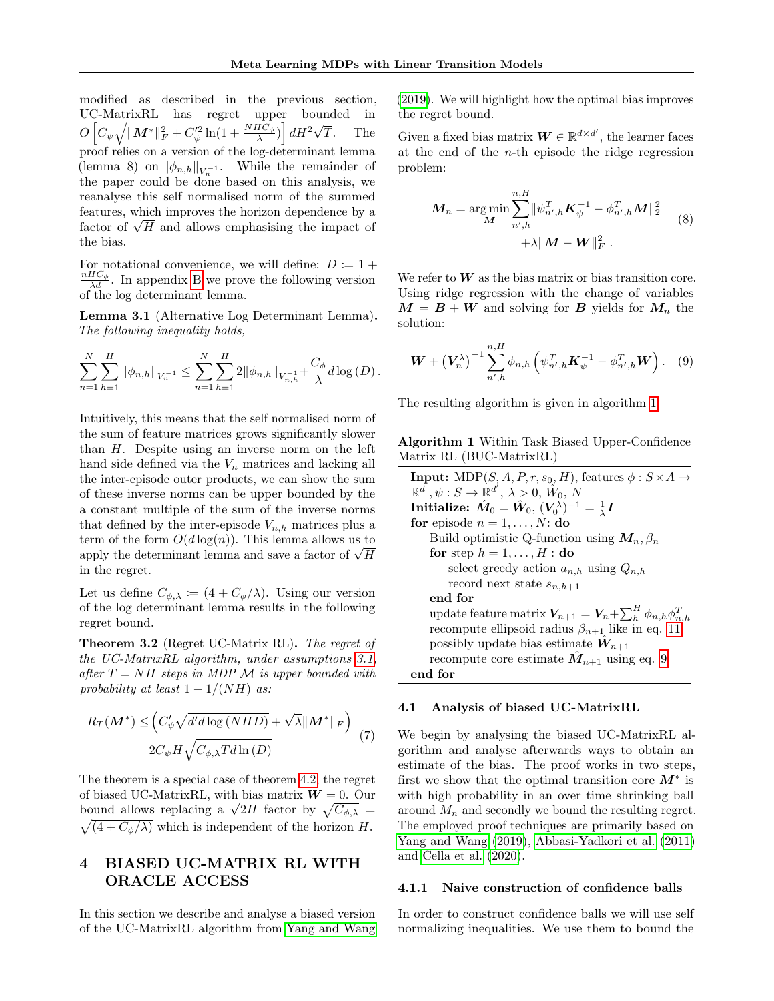modified as described in the previous section, UC-MatrixRL has regret upper bounded in  $O\left[C_{\psi}\sqrt{\|M^*\|_F^2+C_{\psi}^{'2}}\ln(1+\frac{NHC_{\phi}}{\lambda})\right]dH^2\sqrt{\frac{F_{\phi}^{'2}}{n}}$ The proof relies on a version of the log-determinant lemma (lemma 8) on  $|\phi_{n,h}|_{V_n^{-1}}$ . While the remainder of the paper could be done based on this analysis, we reanalyse this self normalised norm of the summed features, which improves the horizon dependence by a features, which improves the horizon dependence by a factor of  $\sqrt{H}$  and allows emphasising the impact of the bias.

For notational convenience, we will define:  $D := 1 +$  $\frac{nHC_{\phi}}{\lambda d}$ . In appendix [B](#page-10-0) we prove the following version of the log determinant lemma.

<span id="page-3-4"></span>Lemma 3.1 (Alternative Log Determinant Lemma). The following inequality holds,

$$
\sum_{n=1}^{N} \sum_{h=1}^{H} \|\phi_{n,h}\|_{V_n^{-1}} \leq \sum_{n=1}^{N} \sum_{h=1}^{H} 2\|\phi_{n,h}\|_{V_{n,h}^{-1}} + \frac{C_{\phi}}{\lambda} d \log(D).
$$

Intuitively, this means that the self normalised norm of the sum of feature matrices grows significantly slower than  $H$ . Despite using an inverse norm on the left hand side defined via the  $V_n$  matrices and lacking all the inter-episode outer products, we can show the sum of these inverse norms can be upper bounded by the a constant multiple of the sum of the inverse norms that defined by the inter-episode  $V_{n,h}$  matrices plus a term of the form  $O(d \log(n))$ . This lemma allows us to term or the form  $O(a \log(n))$ . This lemma allows us to<br>apply the determinant lemma and save a factor of  $\sqrt{H}$ in the regret.

Let us define  $C_{\phi,\lambda} := (4 + C_{\phi}/\lambda)$ . Using our version of the log determinant lemma results in the following regret bound.

Theorem 3.2 (Regret UC-Matrix RL). The regret of the UC-MatrixRL algorithm, under assumptions [3.1,](#page-2-1) after  $T = NH$  steps in MDP M is upper bounded with probability at least  $1 - 1/(NH)$  as:

$$
R_T(\boldsymbol{M}^*) \leq \left(C'_{\psi} \sqrt{d'd \log(NHD)} + \sqrt{\lambda} ||\boldsymbol{M}^*||_F\right)
$$
  

$$
2C_{\psi} H \sqrt{C_{\phi,\lambda} T d \ln(D)}
$$
 (7)

The theorem is a special case of theorem [4.2,](#page-4-0) the regret of biased UC-MatrixRL, with bias matrix  $W = 0$ . Our bound allows replacing a  $\sqrt{2H}$  factor by  $\sqrt{C_{\phi,\lambda}} =$  $\sqrt{(4+C_{\phi}/\lambda)}$  which is independent of the horizon H.

## <span id="page-3-0"></span>4 BIASED UC-MATRIX RL WITH ORACLE ACCESS

In this section we describe and analyse a biased version of the UC-MatrixRL algorithm from [Yang and Wang](#page-9-0)

[\(2019\)](#page-9-0). We will highlight how the optimal bias improves the regret bound.

Given a fixed bias matrix  $\boldsymbol{W} \in \mathbb{R}^{d \times d'}$ , the learner faces at the end of the  $n$ -th episode the ridge regression problem:

$$
\mathbf{M}_{n} = \arg\min_{\mathbf{M}} \sum_{n',h}^{n,H} \|\psi_{n',h}^{T} \mathbf{K}_{\psi}^{-1} - \phi_{n',h}^{T} \mathbf{M}\|_{2}^{2} + \lambda \|\mathbf{M} - \mathbf{W}\|_{F}^{2}.
$$
 (8)

We refer to  $W$  as the bias matrix or bias transition core. Using ridge regression with the change of variables  $M = B + W$  and solving for B yields for  $M_n$  the solution:

<span id="page-3-2"></span>
$$
\boldsymbol{W} + \left(\boldsymbol{V}_n^{\lambda}\right)^{-1} \sum_{n',h}^{n,H} \phi_{n,h} \left(\psi_{n',h}^T \boldsymbol{K}_{\psi}^{-1} - \phi_{n',h}^T \boldsymbol{W}\right). \quad (9)
$$

The resulting algorithm is given in algorithm [1.](#page-3-1)

<span id="page-3-1"></span>

| Algorithm 1 Within Task Biased Upper-Confidence |  |  |  |
|-------------------------------------------------|--|--|--|
| Matrix RL (BUC-Matrix RL)                       |  |  |  |

**Input:** MDP(S, A, P, r, s<sub>0</sub>, H), features  $\phi : S \times A \rightarrow$  $\mathbb{R}^{\tilde{d}^{\tilde{d}}}, \psi: S \rightarrow \mathbb{R}^{d^{\tilde{d}}}, \ \lambda > 0, \ \hat{W}_0, \ \overset{\sim}{N}$  $\textbf{Initialize: }\hat{\textbf{M}}_0=\hat{\textbf{W}}_0,\,(\textbf{V}_0^{\lambda})^{-1}=\frac{1}{\lambda}\textbf{I}$ for episode  $n = 1, \ldots, N$ : do Build optimistic Q-function using  $M_n, \beta_n$ for step  $h = 1, \ldots, H :$  do select greedy action  $a_{n,h}$  using  $Q_{n,h}$ record next state  $s_{n,h+1}$ end for update feature matrix  $V_{n+1} = V_n + \sum_{h}^{H} \phi_{n,h} \phi_{n,h}^T$ <br>recompute ellipsoid radius  $\beta_{n+1}$  like in eq. [11](#page-4-1) possibly update bias estimate  $\hat{W}_{n+1}$ recompute core estimate  $\hat{M}_{n+1}$  using eq. [9](#page-3-2) end for

#### 4.1 Analysis of biased UC-MatrixRL

<span id="page-3-3"></span>We begin by analysing the biased UC-MatrixRL algorithm and analyse afterwards ways to obtain an estimate of the bias. The proof works in two steps, first we show that the optimal transition core  $M^*$  is with high probability in an over time shrinking ball around  $M_n$  and secondly we bound the resulting regret. The employed proof techniques are primarily based on [Yang and Wang](#page-9-0) [\(2019\)](#page-9-0), [Abbasi-Yadkori et al.](#page-8-12) [\(2011\)](#page-8-12) and [Cella et al.](#page-8-7) [\(2020\)](#page-8-7).

#### 4.1.1 Naive construction of confidence balls

In order to construct confidence balls we will use self normalizing inequalities. We use them to bound the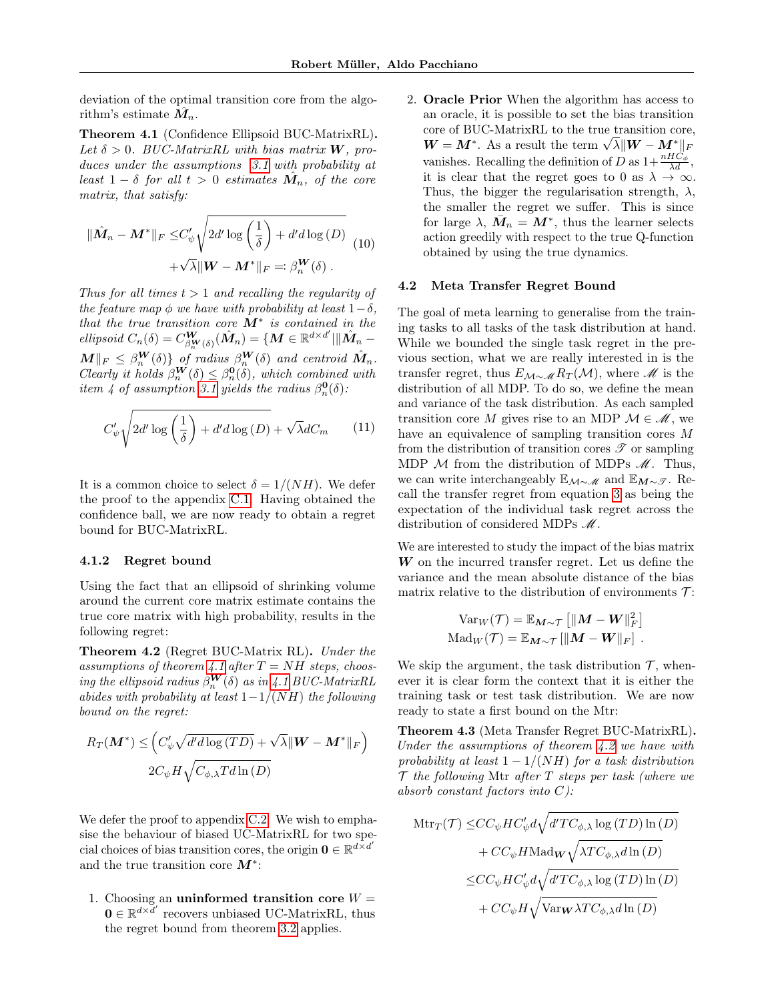deviation of the optimal transition core from the algorithm's estimate  $\hat{M}_n$ .

Theorem 4.1 (Confidence Ellipsoid BUC-MatrixRL). Let  $\delta > 0$ . BUC-MatrixRL with bias matrix **W**, produces under the assumptions [3.1](#page-2-1) with probability at least  $1 - \delta$  for all  $t > 0$  estimates  $\hat{M}_n$ , of the core matrix, that satisfy:

$$
\|\hat{M}_n - \mathbf{M}^*\|_F \leq C'_{\psi} \sqrt{2d' \log\left(\frac{1}{\delta}\right) + d'd \log(D)} \quad (10)
$$

$$
+ \sqrt{\lambda} \|\mathbf{W} - \mathbf{M}^*\|_F =: \beta_n^{\mathbf{W}}(\delta) .
$$

Thus for all times  $t > 1$  and recalling the regularity of the feature map  $\phi$  we have with probability at least  $1-\delta$ , that the true transition core  $M^*$  is contained in the ellipsoid  $C_n(\delta) = C_{\beta_n^{\mathbf{W}}(\delta)}^{\mathbf{W}}(\hat{\mathbf{M}}_n) = \{ \mathbf{M} \in \mathbb{R}^{d \times d'} | ||\hat{\mathbf{M}}_n \|M\|_F \leq \beta_n^{\mathbf{W}}(\delta) \}$  of radius  $\beta_n^{\mathbf{W}}(\delta)$  and centroid  $\hat{M}_n$ . Clearly it holds  $\beta_n^{\mathbf{W}}(\delta) \leq \beta_n^{\mathbf{0}}(\delta)$ , which combined with item 4 of assumption [3.1](#page-2-1) yields the radius  $\beta_n^{\mathbf{0}}(\delta)$ :

$$
C'_{\psi} \sqrt{2d' \log\left(\frac{1}{\delta}\right) + d'd \log\left(D\right)} + \sqrt{\lambda} dC_m \qquad (11)
$$

It is a common choice to select  $\delta = 1/(NH)$ . We defer the proof to the appendix [C.1.](#page-12-0) Having obtained the confidence ball, we are now ready to obtain a regret bound for BUC-MatrixRL.

#### 4.1.2 Regret bound

Using the fact that an ellipsoid of shrinking volume around the current core matrix estimate contains the true core matrix with high probability, results in the following regret:

<span id="page-4-0"></span>Theorem 4.2 (Regret BUC-Matrix RL). Under the assumptions of theorem [4.1](#page-4-1) after  $T = NH$  steps, choosing the ellipsoid radius  $\beta_n^{\bm{W}}(\delta)$  as in [4.1](#page-4-1) BUC-MatrixRL abides with probability at least  $1-1/(NH)$  the following bound on the regret:

$$
R_T(\boldsymbol{M}^*) \leq \left(C'_{\psi}\sqrt{d'd\log(TD)} + \sqrt{\lambda} \|\boldsymbol{W} - \boldsymbol{M}^*\|_F\right)
$$

$$
2C_{\psi}H\sqrt{C_{\phi,\lambda}Td\ln(D)}
$$

We defer the proof to appendix [C.2.](#page-14-0) We wish to emphasise the behaviour of biased UC-MatrixRL for two special choices of bias transition cores, the origin  $\mathbf{0} \in \mathbb{R}^{d \times d'}$ and the true transition core  $M^*$ :

1. Choosing an uninformed transition core  $W =$  $\mathbf{0} \in \mathbb{R}^{d \times d'}$  recovers unbiased UC-MatrixRL, thus the regret bound from theorem [3.2](#page-3-3) applies.

2. Oracle Prior When the algorithm has access to an oracle, it is possible to set the bias transition core of BUC-MatrixRL to the true transition core, From the true transition core of BUC-MatrixKL to the true transition core  $W = M^*$ . As a result the term  $\sqrt{\lambda} \| W - M^* \|_F$ vanishes. Recalling the definition of D as  $1+\frac{nHC_{\phi}}{\lambda d}$ , it is clear that the regret goes to 0 as  $\lambda \to \infty$ . Thus, the bigger the regularisation strength,  $\lambda$ , the smaller the regret we suffer. This is since for large  $\lambda$ ,  $\bar{M}_n = M^*$ , thus the learner selects action greedily with respect to the true Q-function obtained by using the true dynamics.

#### 4.2 Meta Transfer Regret Bound

<span id="page-4-1"></span>The goal of meta learning to generalise from the training tasks to all tasks of the task distribution at hand. While we bounded the single task regret in the previous section, what we are really interested in is the transfer regret, thus  $E_{\mathcal{M}\sim \mathcal{M}} R_T(\mathcal{M})$ , where  $\mathcal M$  is the distribution of all MDP. To do so, we define the mean and variance of the task distribution. As each sampled transition core M gives rise to an MDP  $\mathcal{M} \in \mathcal{M}$ , we have an equivalence of sampling transition cores M from the distribution of transition cores  $\mathscr T$  or sampling MDP  $M$  from the distribution of MDPs  $M$ . Thus, we can write interchangeably  $\mathbb{E}_{\mathcal{M}\sim\mathcal{M}}$  and  $\mathbb{E}_{\mathcal{M}\sim\mathcal{F}}$ . Recall the transfer regret from equation [3](#page-2-2) as being the expectation of the individual task regret across the distribution of considered MDPs  $\mathcal{M}$ .

We are interested to study the impact of the bias matrix  $W$  on the incurred transfer regret. Let us define the variance and the mean absolute distance of the bias matrix relative to the distribution of environments  $\mathcal{T}$ :

$$
\text{Var}_W(\mathcal{T}) = \mathbb{E}_{\mathbf{M}\sim\mathcal{T}} \left[ \|\mathbf{M} - \mathbf{W}\|_F^2 \right]
$$
  
 
$$
\text{Mad}_W(\mathcal{T}) = \mathbb{E}_{\mathbf{M}\sim\mathcal{T}} \left[ \|\mathbf{M} - \mathbf{W}\|_F \right].
$$

We skip the argument, the task distribution  $\mathcal{T}$ , whenever it is clear form the context that it is either the training task or test task distribution. We are now ready to state a first bound on the Mtr:

<span id="page-4-2"></span>Theorem 4.3 (Meta Transfer Regret BUC-MatrixRL). Under the assumptions of theorem [4.2](#page-4-0) we have with probability at least  $1 - 1/(NH)$  for a task distribution  $\mathcal T$  the following Mtr after  $T$  steps per task (where we absorb constant factors into  $C$ ):

$$
\begin{aligned} \mathrm{Mtr}_{T}(\mathcal{T}) \leq & CC_{\psi}HC'_{\psi}d\sqrt{d'TC_{\phi,\lambda}\log\left(TD\right)\ln\left(D\right)}\\ & + CC_{\psi}H\mathrm{Mad}_{\mathbf{W}}\sqrt{\lambda TC_{\phi,\lambda}d\ln\left(D\right)}\\ \leq & CC_{\psi}HC'_{\psi}d\sqrt{d'TC_{\phi,\lambda}\log\left(TD\right)\ln\left(D\right)}\\ & + CC_{\psi}H\sqrt{\mathrm{Var}_{\mathbf{W}}\lambda TC_{\phi,\lambda}d\ln\left(D\right)} \end{aligned}
$$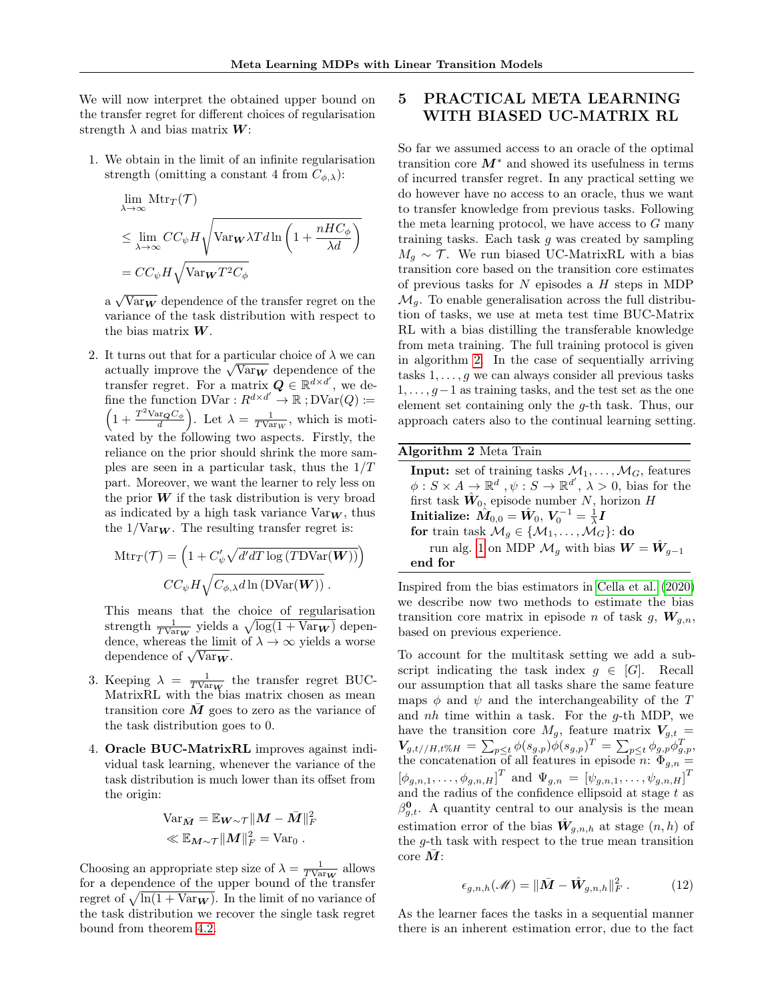We will now interpret the obtained upper bound on the transfer regret for different choices of regularisation strength  $\lambda$  and bias matrix  $W$ :

1. We obtain in the limit of an infinite regularisation strength (omitting a constant 4 from  $C_{\phi,\lambda}$ ):

$$
\lim_{\lambda \to \infty} \text{Mtr}_{T}(\mathcal{T})
$$
\n
$$
\leq \lim_{\lambda \to \infty} CC_{\psi} H \sqrt{\text{Var}_{\mathbf{W}} \lambda T d \ln \left( 1 + \frac{n H C_{\phi}}{\lambda d} \right)}
$$
\n
$$
= CC_{\psi} H \sqrt{\text{Var}_{\mathbf{W}} T^{2} C_{\phi}}
$$

a  $\sqrt{\text{Var}_W}$  dependence of the transfer regret on the variance of the task distribution with respect to the bias matrix  $W$ .

2. It turns out that for a particular choice of  $\lambda$  we can It turns out that for a particular choice of  $\lambda$  we can<br>actually improve the  $\sqrt{\text{Var}_W}$  dependence of the transfer regret. For a matrix  $\mathbf{Q} \in \mathbb{R}^{d \times d'}$ , we define the function  $\text{DVar}: R^{d \times d'} \to \mathbb{R}$ ;  $\text{DVar}(Q) :=$  $\left(1+\frac{T^2 \text{Var}_{\mathbf{Q}} C_{\phi}}{d}\right)$ . Let  $\lambda = \frac{1}{T \text{Var}_{W}}$ , which is motivated by the following two aspects. Firstly, the reliance on the prior should shrink the more samples are seen in a particular task, thus the  $1/T$ part. Moreover, we want the learner to rely less on the prior  $W$  if the task distribution is very broad as indicated by a high task variance  $\text{Var}_{\mathbf{W}}$ , thus the  $1/\text{Var}_{W}$ . The resulting transfer regret is:

$$
Mtr_T(\mathcal{T}) = \left(1 + C'_{\psi} \sqrt{d'dT \log(TDVar(\mathbf{W}))}\right)
$$

$$
CC_{\psi} H \sqrt{C_{\phi,\lambda} d \ln(DVar(\mathbf{W}))}.
$$

This means that the choice of regularisation strength  $\frac{1}{T \text{Var}_W}$  yields a  $\sqrt{\log(1 + \text{Var}_W)}$  dependence, whereas the limit of  $\lambda \to \infty$  yields a worse dependence of  $\sqrt{\text{Var}_W}$ .

- 3. Keeping  $\lambda = \frac{1}{TV_{\text{ar}}w}$  the transfer regret BUC-MatrixRL with the bias matrix chosen as mean transition core  $\overline{M}$  goes to zero as the variance of the task distribution goes to 0.
- 4. Oracle BUC-MatrixRL improves against individual task learning, whenever the variance of the task distribution is much lower than its offset from the origin:

$$
\begin{aligned} \text{Var}_{\bar{\boldsymbol{M}}} &= \mathbb{E}_{\boldsymbol{W}\sim\mathcal{T}} \|\boldsymbol{M} - \bar{\boldsymbol{M}}\|_F^2 \\ &\ll \mathbb{E}_{\boldsymbol{M}\sim\mathcal{T}} \|\boldsymbol{M}\|_F^2 = \text{Var}_0 \ . \end{aligned}
$$

Choosing an appropriate step size of  $\lambda = \frac{1}{T \text{VarW}}$  allows for a dependence of the upper bound of the transfer regret of  $\sqrt{\ln(1 + \text{Var}_{{\bf W}})}$ . In the limit of no variance of the task distribution we recover the single task regret bound from theorem [4.2.](#page-4-0)

# 5 PRACTICAL META LEARNING WITH BIASED UC-MATRIX RL

So far we assumed access to an oracle of the optimal transition core  $M^*$  and showed its usefulness in terms of incurred transfer regret. In any practical setting we do however have no access to an oracle, thus we want to transfer knowledge from previous tasks. Following the meta learning protocol, we have access to  $G$  many training tasks. Each task  $q$  was created by sampling  $M_q \sim \mathcal{T}$ . We run biased UC-MatrixRL with a bias transition core based on the transition core estimates of previous tasks for  $N$  episodes a  $H$  steps in MDP  $\mathcal{M}_q$ . To enable generalisation across the full distribution of tasks, we use at meta test time BUC-Matrix RL with a bias distilling the transferable knowledge from meta training. The full training protocol is given in algorithm [2.](#page-5-0) In the case of sequentially arriving tasks  $1, \ldots, g$  we can always consider all previous tasks  $1, \ldots, g-1$  as training tasks, and the test set as the one element set containing only the g-th task. Thus, our approach caters also to the continual learning setting.

<span id="page-5-0"></span>

| Algorithm 2 Meta Train                                                                             |
|----------------------------------------------------------------------------------------------------|
| <b>Input:</b> set of training tasks $M_1, \ldots, M_G$ , features                                  |
| $\phi: S \times A \to \mathbb{R}^d$ , $\psi: S \to \mathbb{R}^{d'}$ , $\lambda > 0$ , bias for the |
| first task $\hat{W}_0$ , episode number N, horizon H                                               |
| Initialize: $\hat{M}_{0,0} = \hat{W}_0, V_0^{-1} = \frac{1}{\lambda}I$                             |
| for train task $\mathcal{M}_q \in \{ \mathcal{M}_1, \ldots, \mathcal{M}_G \}$ : do                 |
| run alg. 1 on MDP $\mathcal{M}_q$ with bias $\mathbf{W} = \hat{\mathbf{W}}_{q-1}$                  |
| end for                                                                                            |
|                                                                                                    |

Inspired from the bias estimators in [Cella et al.](#page-8-7) [\(2020\)](#page-8-7) we describe now two methods to estimate the bias transition core matrix in episode *n* of task  $q$ ,  $W_{a,n}$ , based on previous experience.

To account for the multitask setting we add a subscript indicating the task index  $q \in [G]$ . Recall our assumption that all tasks share the same feature maps  $\phi$  and  $\psi$  and the interchangeability of the T and  $nh$  time within a task. For the  $g$ -th MDP, we have the transition core  $M_g$ , feature matrix  $V_{g,t}$  =  $V_{g,t//H,t\%H} = \sum_{p\leq t} \phi(s_{g,p}) \overline{\phi}(s_{g,p})^T = \sum_{p\leq t} \phi_{g,p} \phi_{g,p}^T,$ the concatenation of all features in episode n:  $\Phi_{g,n} =$  $[\phi_{g,n,1}, \ldots, \phi_{g,n,H}]^T$  and  $\Psi_{g,n} = [\psi_{g,n,1}, \ldots, \psi_{g,n,H}]^T$ and the radius of the confidence ellipsoid at stage  $t$  as  $\beta_{g,t}^{\mathbf{0}}$ . A quantity central to our analysis is the mean estimation error of the bias  $\hat{W}_{g,n,h}$  at stage  $(n,h)$  of the g-th task with respect to the true mean transition  $\text{core }M$ :

$$
\epsilon_{g,n,h}(\mathcal{M}) = \|\bar{M} - \hat{W}_{g,n,h}\|_F^2.
$$
 (12)

As the learner faces the tasks in a sequential manner there is an inherent estimation error, due to the fact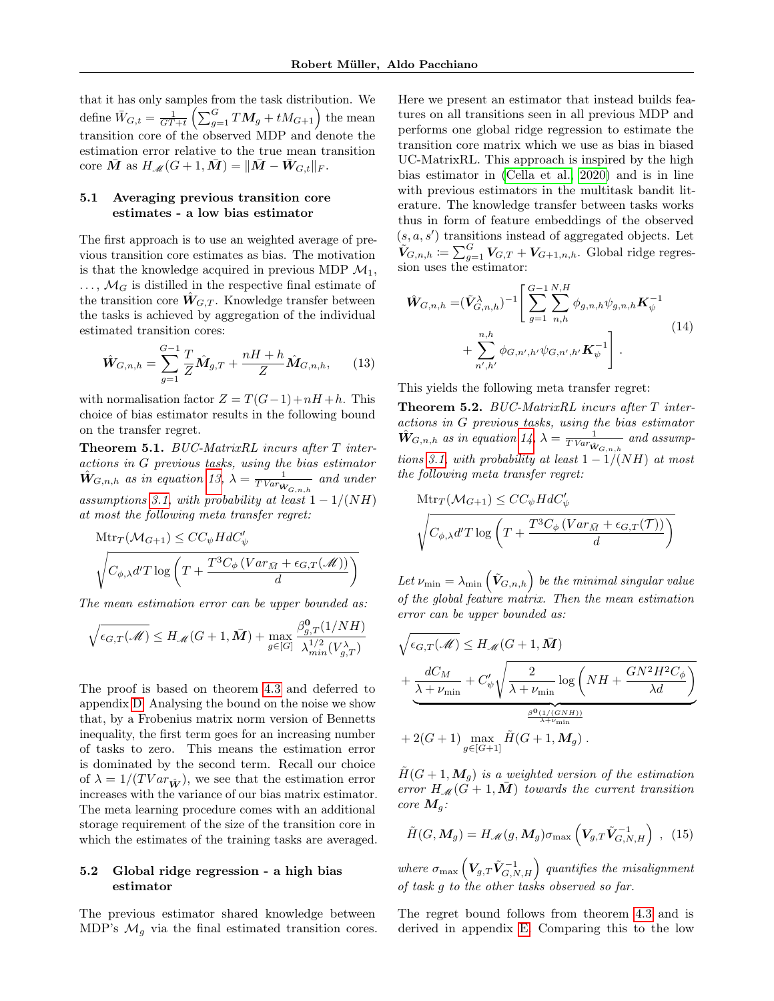that it has only samples from the task distribution. We define  $\bar{W}_{G,t} = \frac{1}{GT+t} \left( \sum_{g=1}^{G} TM_g + tM_{G+1} \right)$  the mean transition core of the observed MDP and denote the estimation error relative to the true mean transition core  $\overline{M}$  as  $H_{\mathscr{M}}(G+1,\overline{M}) = ||\overline{M} - \overline{W}_{G,t}||_F$ .

## <span id="page-6-3"></span>5.1 Averaging previous transition core estimates - a low bias estimator

The first approach is to use an weighted average of previous transition core estimates as bias. The motivation is that the knowledge acquired in previous MDP  $\mathcal{M}_1$ ,  $\ldots$ ,  $\mathcal{M}_G$  is distilled in the respective final estimate of the transition core  $W_{G,T}$ . Knowledge transfer between the tasks is achieved by aggregation of the individual estimated transition cores:

$$
\hat{\mathbf{W}}_{G,n,h} = \sum_{g=1}^{G-1} \frac{T}{Z} \hat{\mathbf{M}}_{g,T} + \frac{nH + h}{Z} \hat{\mathbf{M}}_{G,n,h}, \qquad (13)
$$

with normalisation factor  $Z = T(G-1) + nH + h$ . This choice of bias estimator results in the following bound on the transfer regret.

<span id="page-6-2"></span>Theorem 5.1. BUC-MatrixRL incurs after T interactions in G previous tasks, using the bias estimator  $\hat{W}_{G,n,h}$  as in equation [13,](#page-6-0)  $\lambda = \frac{1}{TVar_{W_{G,n,h}}}$  and under assumptions [3.1,](#page-2-1) with probability at least  $1 - 1/(NH)$ at most the following meta transfer regret:

$$
\begin{aligned} &\operatorname{Mtr}_{T}(\mathcal{M}_{G+1})\leq CC_{\psi}HdC_{\psi}'\\ &\sqrt{C_{\phi,\lambda}d'T\log\left(T + \frac{T^3C_{\phi}\left(Var_{\bar{M}} + \epsilon_{G,T}(\mathcal{M})\right)}{d}\right)}\end{aligned}
$$

The mean estimation error can be upper bounded as:

$$
\sqrt{\epsilon_{G,T}(\mathscr{M})} \leq H_{\mathscr{M}}(G+1, \bar{M}) + \max_{g \in [G]}\frac{\beta_{g,T}^{\mathbf{0}}(1/NH)}{\lambda_{min}^{1/2}(V_{g,T}^{\lambda})}
$$

The proof is based on theorem [4.3](#page-4-2) and deferred to appendix [D.](#page-16-0) Analysing the bound on the noise we show that, by a Frobenius matrix norm version of Bennetts inequality, the first term goes for an increasing number of tasks to zero. This means the estimation error is dominated by the second term. Recall our choice of  $\lambda = 1/(T Var_{\hat{W}})$ , we see that the estimation error increases with the variance of our bias matrix estimator. The meta learning procedure comes with an additional storage requirement of the size of the transition core in which the estimates of the training tasks are averaged.

## 5.2 Global ridge regression - a high bias estimator

The previous estimator shared knowledge between MDP's  $\mathcal{M}_g$  via the final estimated transition cores. Here we present an estimator that instead builds features on all transitions seen in all previous MDP and performs one global ridge regression to estimate the transition core matrix which we use as bias in biased UC-MatrixRL. This approach is inspired by the high bias estimator in [\(Cella et al., 2020\)](#page-8-7) and is in line with previous estimators in the multitask bandit literature. The knowledge transfer between tasks works thus in form of feature embeddings of the observed  $(s, a, s')$  transitions instead of aggregated objects. Let  $\tilde{V}_{G,n,h} \coloneqq \sum_{g=1}^{G} V_{G,T} + V_{G+1,n,h}$ . Global ridge regression uses the estimator:

<span id="page-6-1"></span>
$$
\hat{\mathbf{W}}_{G,n,h} = (\tilde{\mathbf{V}}_{G,n,h}^{\lambda})^{-1} \left[ \sum_{g=1}^{G-1} \sum_{n,h}^{N,H} \phi_{g,n,h} \psi_{g,n,h} \mathbf{K}_{\psi}^{-1} + \sum_{n',h'}^{n,h} \phi_{G,n',h'} \psi_{G,n',h'} \mathbf{K}_{\psi}^{-1} \right].
$$
\n(14)

<span id="page-6-0"></span>This yields the following meta transfer regret:

Theorem 5.2. BUC-MatrixRL incurs after T interactions in G previous tasks, using the bias estimator  $\hat{W}_{G,n,h}$  as in equation [14,](#page-6-1)  $\lambda = \frac{1}{TVar_{\hat{W}_{G,n,h}}}$  and assump-tions [3.1,](#page-2-1) with probability at least  $1 - 1/(NH)$  at most the following meta transfer regret:

$$
\begin{aligned} &\operatorname{Mtr}_{T}(\mathcal{M}_{G+1}) \leq CC_{\psi} HdC_{\psi}' \\ &\sqrt{C_{\phi,\lambda} d'T \log \left(T + \frac{T^3 C_{\phi} \left( Var_{\bar{M}} + \epsilon_{G,T}(T) \right)}{d} \right)} \end{aligned}
$$

Let  $\nu_{\min} = \lambda_{\min} \left( \tilde{\bm{V}}_{G,n,h} \right)$  be the minimal singular value of the global feature matrix. Then the mean estimation error can be upper bounded as:

$$
\sqrt{\epsilon_{G,T}(\mathcal{M})} \leq H_{\mathcal{M}}(G+1,\bar{M}) + \underbrace{\frac{dC_M}{\lambda + \nu_{\min}} + C_{\psi}^{\prime}\sqrt{\frac{2}{\lambda + \nu_{\min}}}\log\left(NH + \frac{GN^2H^2C_{\phi}}{\lambda d}\right)}_{\frac{\beta^0(1/(GNH))}{\lambda + \nu_{\min}}} + 2(G+1)\max_{g \in [G+1]} \tilde{H}(G+1,M_g) .
$$

 $H(G+1, M_q)$  is a weighted version of the estimation error  $H_{\mathscr{M}}(G + 1, \overline{M})$  towards the current transition core  $M_g$ :

$$
\tilde{H}(G, M_g) = H_{\mathscr{M}}(g, M_g) \sigma_{\max} \left( V_{g,T} \tilde{V}_{G,N,H}^{-1} \right) , \tag{15}
$$

where  $\sigma_{\max}\left(\boldsymbol{V}_{g,T}\tilde{\boldsymbol{V}}^{-1}_{G,N,H}\right)$  quantifies the misalignment of task g to the other tasks observed so far.

The regret bound follows from theorem [4.3](#page-4-2) and is derived in appendix [E.](#page-18-0) Comparing this to the low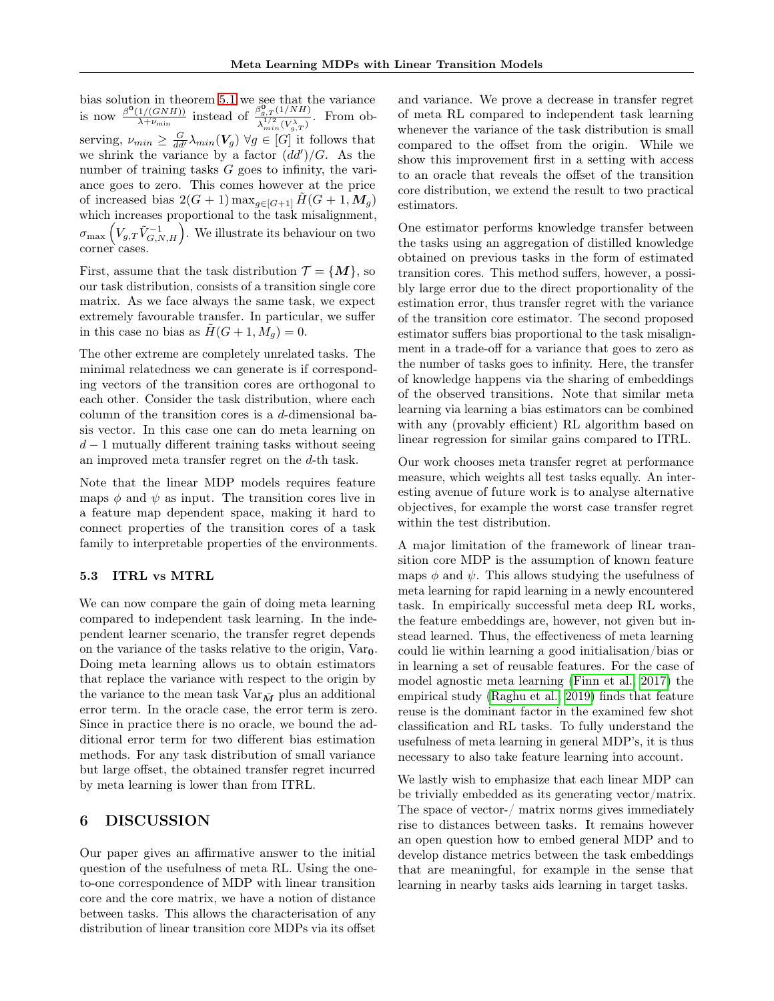bias solution in theorem [5.1](#page-6-2) we see that the variance is now  $\frac{\beta^{\mathbf{0}}(1/(GNH))}{\lambda+\nu}$  $\frac{1/(GNH))}{\lambda+\nu_{\min}}$  instead of  $\frac{\beta_{g,T}^{0}(1/NH)}{\lambda^{1/2}(V\lambda_{\min})}$  $\lambda_{min}^{1/2}(V_{g,T}^{\lambda})$ . From observing,  $\nu_{min} \geq \frac{G}{dd'} \lambda_{min}(\mathbf{V}_g) \ \forall g \in [G]$  it follows that we shrink the variance by a factor  $(dd')/G$ . As the number of training tasks G goes to infinity, the variance goes to zero. This comes however at the price of increased bias  $2(G + 1)$  max $_{g \in [G+1]}$   $H(G + 1, M_g)$ which increases proportional to the task misalignment,  $\sigma_{\max}\left(V_{g,T}\tilde{V}_{G,N,H}^{-1}\right)$ . We illustrate its behaviour on two corner cases.

First, assume that the task distribution  $\mathcal{T} = \{M\}$ , so our task distribution, consists of a transition single core matrix. As we face always the same task, we expect extremely favourable transfer. In particular, we suffer in this case no bias as  $H(G + 1, M_q) = 0$ .

The other extreme are completely unrelated tasks. The minimal relatedness we can generate is if corresponding vectors of the transition cores are orthogonal to each other. Consider the task distribution, where each column of the transition cores is a  $d$ -dimensional basis vector. In this case one can do meta learning on  $d-1$  mutually different training tasks without seeing an improved meta transfer regret on the d-th task.

Note that the linear MDP models requires feature maps  $\phi$  and  $\psi$  as input. The transition cores live in a feature map dependent space, making it hard to connect properties of the transition cores of a task family to interpretable properties of the environments.

#### 5.3 ITRL vs MTRL

We can now compare the gain of doing meta learning compared to independent task learning. In the independent learner scenario, the transfer regret depends on the variance of the tasks relative to the origin,  $Var_0$ . Doing meta learning allows us to obtain estimators that replace the variance with respect to the origin by the variance to the mean task  $Var_{\bar{M}}$  plus an additional error term. In the oracle case, the error term is zero. Since in practice there is no oracle, we bound the additional error term for two different bias estimation methods. For any task distribution of small variance but large offset, the obtained transfer regret incurred by meta learning is lower than from ITRL.

## 6 DISCUSSION

Our paper gives an affirmative answer to the initial question of the usefulness of meta RL. Using the oneto-one correspondence of MDP with linear transition core and the core matrix, we have a notion of distance between tasks. This allows the characterisation of any distribution of linear transition core MDPs via its offset and variance. We prove a decrease in transfer regret of meta RL compared to independent task learning whenever the variance of the task distribution is small compared to the offset from the origin. While we show this improvement first in a setting with access to an oracle that reveals the offset of the transition core distribution, we extend the result to two practical estimators.

One estimator performs knowledge transfer between the tasks using an aggregation of distilled knowledge obtained on previous tasks in the form of estimated transition cores. This method suffers, however, a possibly large error due to the direct proportionality of the estimation error, thus transfer regret with the variance of the transition core estimator. The second proposed estimator suffers bias proportional to the task misalignment in a trade-off for a variance that goes to zero as the number of tasks goes to infinity. Here, the transfer of knowledge happens via the sharing of embeddings of the observed transitions. Note that similar meta learning via learning a bias estimators can be combined with any (provably efficient) RL algorithm based on linear regression for similar gains compared to ITRL.

Our work chooses meta transfer regret at performance measure, which weights all test tasks equally. An interesting avenue of future work is to analyse alternative objectives, for example the worst case transfer regret within the test distribution.

A major limitation of the framework of linear transition core MDP is the assumption of known feature maps  $\phi$  and  $\psi$ . This allows studying the usefulness of meta learning for rapid learning in a newly encountered task. In empirically successful meta deep RL works, the feature embeddings are, however, not given but instead learned. Thus, the effectiveness of meta learning could lie within learning a good initialisation/bias or in learning a set of reusable features. For the case of model agnostic meta learning [\(Finn et al., 2017\)](#page-8-14) the empirical study [\(Raghu et al., 2019\)](#page-9-16) finds that feature reuse is the dominant factor in the examined few shot classification and RL tasks. To fully understand the usefulness of meta learning in general MDP's, it is thus necessary to also take feature learning into account.

We lastly wish to emphasize that each linear MDP can be trivially embedded as its generating vector/matrix. The space of vector-/ matrix norms gives immediately rise to distances between tasks. It remains however an open question how to embed general MDP and to develop distance metrics between the task embeddings that are meaningful, for example in the sense that learning in nearby tasks aids learning in target tasks.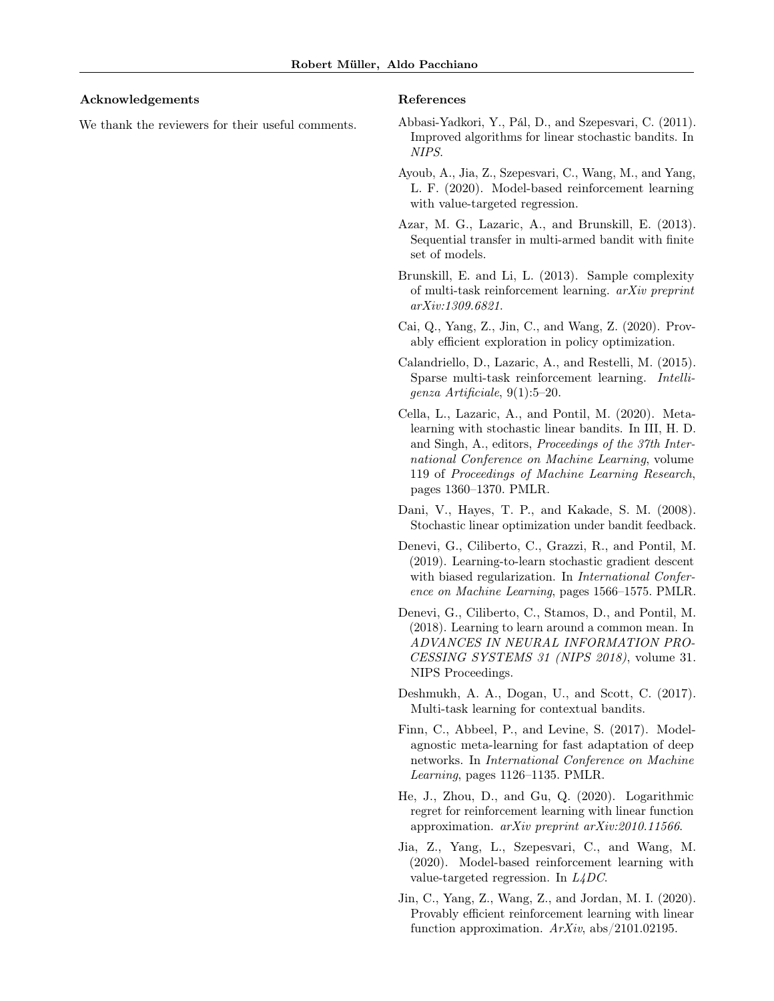#### Acknowledgements

We thank the reviewers for their useful comments.

#### References

- <span id="page-8-12"></span>Abbasi-Yadkori, Y., Pál, D., and Szepesvari, C. (2011). Improved algorithms for linear stochastic bandits. In NIPS.
- <span id="page-8-1"></span>Ayoub, A., Jia, Z., Szepesvari, C., Wang, M., and Yang, L. F. (2020). Model-based reinforcement learning with value-targeted regression.
- <span id="page-8-8"></span>Azar, M. G., Lazaric, A., and Brunskill, E. (2013). Sequential transfer in multi-armed bandit with finite set of models.
- <span id="page-8-10"></span>Brunskill, E. and Li, L. (2013). Sample complexity of multi-task reinforcement learning. arXiv preprint arXiv:1309.6821.
- <span id="page-8-2"></span>Cai, Q., Yang, Z., Jin, C., and Wang, Z. (2020). Provably efficient exploration in policy optimization.
- <span id="page-8-11"></span>Calandriello, D., Lazaric, A., and Restelli, M. (2015). Sparse multi-task reinforcement learning. Intelligenza Artificiale, 9(1):5–20.
- <span id="page-8-7"></span>Cella, L., Lazaric, A., and Pontil, M. (2020). Metalearning with stochastic linear bandits. In III, H. D. and Singh, A., editors, Proceedings of the 37th International Conference on Machine Learning, volume 119 of Proceedings of Machine Learning Research, pages 1360–1370. PMLR.
- <span id="page-8-13"></span>Dani, V., Hayes, T. P., and Kakade, S. M. (2008). Stochastic linear optimization under bandit feedback.
- <span id="page-8-6"></span>Denevi, G., Ciliberto, C., Grazzi, R., and Pontil, M. (2019). Learning-to-learn stochastic gradient descent with biased regularization. In *International Confer*ence on Machine Learning, pages 1566–1575. PMLR.
- <span id="page-8-5"></span>Denevi, G., Ciliberto, C., Stamos, D., and Pontil, M. (2018). Learning to learn around a common mean. In ADVANCES IN NEURAL INFORMATION PRO-CESSING SYSTEMS 31 (NIPS 2018), volume 31. NIPS Proceedings.
- <span id="page-8-9"></span>Deshmukh, A. A., Dogan, U., and Scott, C. (2017). Multi-task learning for contextual bandits.
- <span id="page-8-14"></span>Finn, C., Abbeel, P., and Levine, S. (2017). Modelagnostic meta-learning for fast adaptation of deep networks. In International Conference on Machine Learning, pages 1126–1135. PMLR.
- <span id="page-8-3"></span>He, J., Zhou, D., and Gu, Q. (2020). Logarithmic regret for reinforcement learning with linear function approximation. arXiv preprint arXiv:2010.11566.
- <span id="page-8-0"></span>Jia, Z., Yang, L., Szepesvari, C., and Wang, M. (2020). Model-based reinforcement learning with value-targeted regression. In L4DC.
- <span id="page-8-4"></span>Jin, C., Yang, Z., Wang, Z., and Jordan, M. I. (2020). Provably efficient reinforcement learning with linear function approximation.  $ArXiv$ , abs/2101.02195.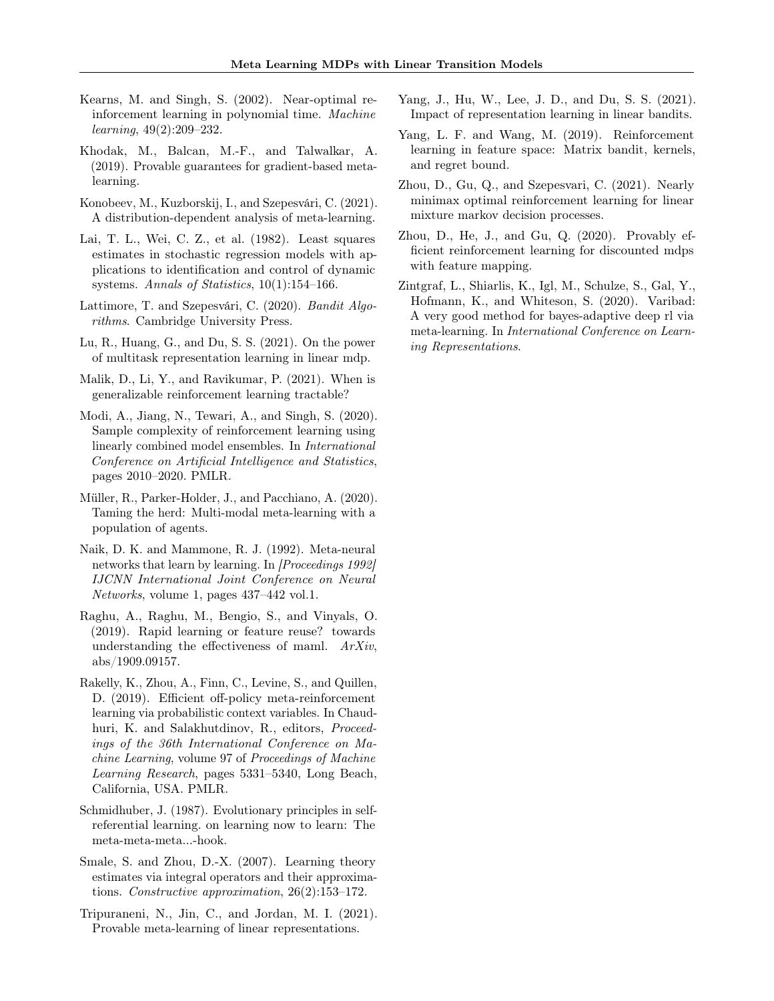- <span id="page-9-6"></span>Kearns, M. and Singh, S. (2002). Near-optimal reinforcement learning in polynomial time. Machine learning, 49(2):209–232.
- <span id="page-9-10"></span>Khodak, M., Balcan, M.-F., and Talwalkar, A. (2019). Provable guarantees for gradient-based metalearning.
- <span id="page-9-11"></span>Konobeev, M., Kuzborskij, I., and Szepesvári, C. (2021). A distribution-dependent analysis of meta-learning.
- <span id="page-9-19"></span>Lai, T. L., Wei, C. Z., et al. (1982). Least squares estimates in stochastic regression models with applications to identification and control of dynamic systems. Annals of Statistics, 10(1):154–166.
- <span id="page-9-17"></span>Lattimore, T. and Szepesvári, C. (2020). Bandit Algorithms. Cambridge University Press.
- <span id="page-9-14"></span>Lu, R., Huang, G., and Du, S. S. (2021). On the power of multitask representation learning in linear mdp.
- <span id="page-9-15"></span>Malik, D., Li, Y., and Ravikumar, P. (2021). When is generalizable reinforcement learning tractable?
- <span id="page-9-7"></span>Modi, A., Jiang, N., Tewari, A., and Singh, S. (2020). Sample complexity of reinforcement learning using linearly combined model ensembles. In International Conference on Artificial Intelligence and Statistics, pages 2010–2020. PMLR.
- <span id="page-9-5"></span>Müller, R., Parker-Holder, J., and Pacchiano, A. (2020). Taming the herd: Multi-modal meta-learning with a population of agents.
- <span id="page-9-2"></span>Naik, D. K. and Mammone, R. J. (1992). Meta-neural networks that learn by learning. In [Proceedings 1992] IJCNN International Joint Conference on Neural Networks, volume 1, pages 437–442 vol.1.
- <span id="page-9-16"></span>Raghu, A., Raghu, M., Bengio, S., and Vinyals, O. (2019). Rapid learning or feature reuse? towards understanding the effectiveness of maml. ArXiv, abs/1909.09157.
- <span id="page-9-4"></span>Rakelly, K., Zhou, A., Finn, C., Levine, S., and Quillen, D. (2019). Efficient off-policy meta-reinforcement learning via probabilistic context variables. In Chaudhuri, K. and Salakhutdinov, R., editors, Proceedings of the 36th International Conference on Machine Learning, volume 97 of Proceedings of Machine Learning Research, pages 5331–5340, Long Beach, California, USA. PMLR.
- <span id="page-9-1"></span>Schmidhuber, J. (1987). Evolutionary principles in selfreferential learning. on learning now to learn: The meta-meta-meta...-hook.
- <span id="page-9-18"></span>Smale, S. and Zhou, D.-X. (2007). Learning theory estimates via integral operators and their approximations. Constructive approximation, 26(2):153–172.
- <span id="page-9-12"></span>Tripuraneni, N., Jin, C., and Jordan, M. I. (2021). Provable meta-learning of linear representations.
- <span id="page-9-13"></span>Yang, J., Hu, W., Lee, J. D., and Du, S. S. (2021). Impact of representation learning in linear bandits.
- <span id="page-9-0"></span>Yang, L. F. and Wang, M. (2019). Reinforcement learning in feature space: Matrix bandit, kernels, and regret bound.
- <span id="page-9-9"></span>Zhou, D., Gu, Q., and Szepesvari, C. (2021). Nearly minimax optimal reinforcement learning for linear mixture markov decision processes.
- <span id="page-9-8"></span>Zhou, D., He, J., and Gu, Q. (2020). Provably efficient reinforcement learning for discounted mdps with feature mapping.
- <span id="page-9-3"></span>Zintgraf, L., Shiarlis, K., Igl, M., Schulze, S., Gal, Y., Hofmann, K., and Whiteson, S. (2020). Varibad: A very good method for bayes-adaptive deep rl via meta-learning. In International Conference on Learning Representations.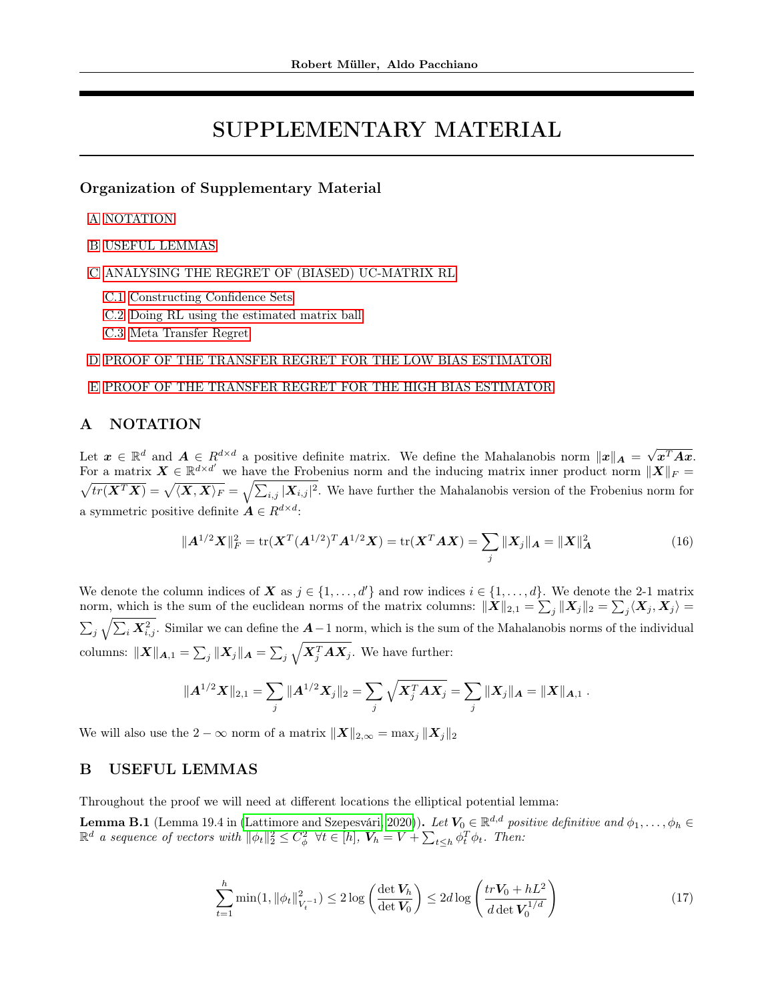# SUPPLEMENTARY MATERIAL

## Organization of Supplementary Material

[A](#page-10-1) [NOTATION](#page-10-1)

[B](#page-10-0) [USEFUL LEMMAS](#page-10-0)

[C](#page-12-1) [ANALYSING THE REGRET OF \(BIASED\) UC-MATRIX RL](#page-12-1)

- [C.1](#page-12-0) [Constructing Confidence Sets](#page-12-0)
- [C.2](#page-14-0) [Doing RL using the estimated matrix ball](#page-14-0)
- [C.3](#page-16-1) [Meta Transfer Regret](#page-16-1)

## [D](#page-16-0) [PROOF OF THE TRANSFER REGRET FOR THE LOW BIAS ESTIMATOR](#page-16-0)

#### [E](#page-18-0) [PROOF OF THE TRANSFER REGRET FOR THE HIGH BIAS ESTIMATOR](#page-18-0)

## <span id="page-10-1"></span>A NOTATION

Let  $\boldsymbol{x} \in \mathbb{R}^d$  and  $\boldsymbol{A} \in R^{d \times d}$  a positive definite matrix. We define the Mahalanobis norm  $\|\boldsymbol{x}\|_{\boldsymbol{A}} = \sqrt{d}$  $x^T Ax$ . For a matrix  $\boldsymbol{X} \in \mathbb{R}^{d \times d'}$  we have the Frobenius norm and the inducing matrix inner product norm  $\|\boldsymbol{X}\|_F =$  $\sqrt{tr(\boldsymbol{X}^T\boldsymbol{X})} = \sqrt{\langle \boldsymbol{X}, \boldsymbol{X} \rangle_F} = \sqrt{\sum_{i,j} |\boldsymbol{X}_{i,j}|^2}$ . We have further the Mahalanobis version of the Frobenius norm for a symmetric positive definite  $A \in R^{d \times d}$ :

<span id="page-10-3"></span>
$$
||A^{1/2}X||_F^2 = \text{tr}(X^T(A^{1/2})^T A^{1/2} X) = \text{tr}(X^T A X) = \sum_j ||X_j||_A = ||X||_A^2
$$
\n(16)

We denote the column indices of X as  $j \in \{1, ..., d'\}$  and row indices  $i \in \{1, ..., d\}$ . We denote the 2-1 matrix norm, which is the sum of the euclidean norms of the matrix columns:  $\|\boldsymbol{X}\|_{2,1} = \sum_j \|\boldsymbol{X}_j\|_2 = \sum_j \langle \boldsymbol{X}_j, \boldsymbol{X}_j \rangle =$  $\sum_j \sqrt{\sum_i \mathbf{X}_{i,j}^2}$ . Similar we can define the  $\mathbf{A}-1$  norm, which is the sum of the Mahalanobis norms of the individual columns:  $\|\boldsymbol{X}\|_{\boldsymbol{A},1} = \sum_j \|\boldsymbol{X}_j\|_{\boldsymbol{A}} = \sum_j \sqrt{\boldsymbol{X}_j^T \boldsymbol{A} \boldsymbol{X}_j}$ . We have further:

$$
\|A^{1/2}X\|_{2,1}=\sum_j\|A^{1/2}X_j\|_2=\sum_j\sqrt{X_j^TAX_j}=\sum_j\|X_j\|_A=\|X\|_{A,1}.
$$

We will also use the 2 –  $\infty$  norm of a matrix  $||\boldsymbol{X}||_{2,\infty} = \max_j ||\boldsymbol{X}_j||_2$ 

## <span id="page-10-0"></span>B USEFUL LEMMAS

Throughout the proof we will need at different locations the elliptical potential lemma:

**Lemma B.1** (Lemma 19.4 in [\(Lattimore and Szepesvári, 2020\)](#page-9-17)). Let  $V_0 \in \mathbb{R}^{d,d}$  positive definitive and  $\phi_1, \ldots, \phi_h \in$  $\mathbb{R}^d$  a sequence of vectors with  $\|\phi_t\|_2^2 \leq C_{\phi}^2$   $\forall t \in [h]$ ,  $V_h = V + \sum_{t \leq h} \phi_t^T \phi_t$ . Then:

<span id="page-10-2"></span>
$$
\sum_{t=1}^{h} \min(1, \|\phi_t\|_{V_t^{-1}}^2) \le 2\log\left(\frac{\det V_h}{\det V_0}\right) \le 2d\log\left(\frac{tr V_0 + hL^2}{d\det V_0^{1/d}}\right) \tag{17}
$$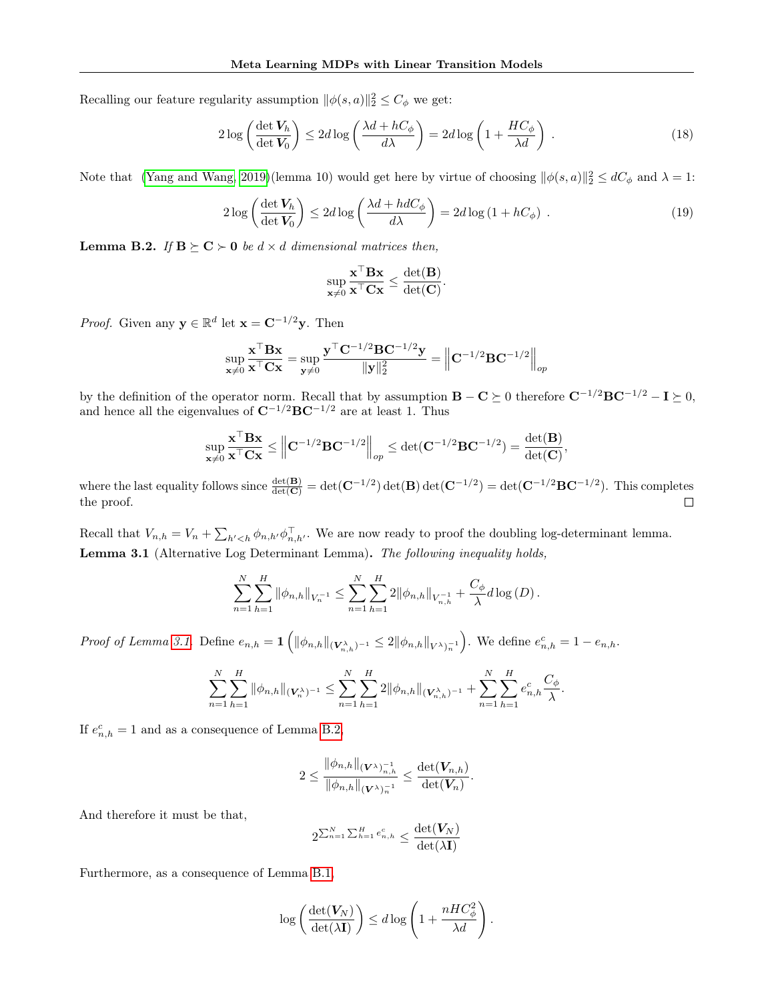Recalling our feature regularity assumption  $\|\phi(s, a)\|_2^2 \leq C_{\phi}$  we get:

$$
2\log\left(\frac{\det V_h}{\det V_0}\right) \le 2d\log\left(\frac{\lambda d + hC_\phi}{d\lambda}\right) = 2d\log\left(1 + \frac{HC_\phi}{\lambda d}\right) \,. \tag{18}
$$

Note that [\(Yang and Wang, 2019\)](#page-9-0)(lemma 10) would get here by virtue of choosing  $\|\phi(s, a)\|_2^2 \le dC_\phi$  and  $\lambda = 1$ :

$$
2\log\left(\frac{\det V_h}{\det V_0}\right) \le 2d\log\left(\frac{\lambda d + hdC_{\phi}}{d\lambda}\right) = 2d\log\left(1 + hC_{\phi}\right) \,. \tag{19}
$$

<span id="page-11-0"></span>**Lemma B.2.** If  $B \succeq C \succ 0$  be  $d \times d$  dimensional matrices then,

<span id="page-11-1"></span>
$$
\sup_{\mathbf{x}\neq 0} \frac{\mathbf{x}^\top \mathbf{B} \mathbf{x}}{\mathbf{x}^\top \mathbf{C} \mathbf{x}} \leq \frac{\det(\mathbf{B})}{\det(\mathbf{C})}.
$$

*Proof.* Given any  $y \in \mathbb{R}^d$  let  $\mathbf{x} = \mathbf{C}^{-1/2}y$ . Then

$$
\sup_{\mathbf{x}\neq 0}\frac{\mathbf{x}^\top\mathbf{B}\mathbf{x}}{\mathbf{x}^\top\mathbf{C}\mathbf{x}}=\sup_{\mathbf{y}\neq 0}\frac{\mathbf{y}^\top\mathbf{C}^{-1/2}\mathbf{B}\mathbf{C}^{-1/2}\mathbf{y}}{\|\mathbf{y}\|_2^2}=\left\|\mathbf{C}^{-1/2}\mathbf{B}\mathbf{C}^{-1/2}\right\|_{op}
$$

by the definition of the operator norm. Recall that by assumption  $B - C \succeq 0$  therefore  $C^{-1/2}BC^{-1/2} - I \succeq 0$ , and hence all the eigenvalues of  $\mathbf{C}^{-1/2}\mathbf{B}\mathbf{C}^{-1/2}$  are at least 1. Thus

$$
\sup_{\mathbf{x}\neq 0}\frac{\mathbf{x}^\top\mathbf{B}\mathbf{x}}{\mathbf{x}^\top\mathbf{C}\mathbf{x}} \leq \left\|\mathbf{C}^{-1/2}\mathbf{B}\mathbf{C}^{-1/2}\right\|_{op} \leq \det(\mathbf{C}^{-1/2}\mathbf{B}\mathbf{C}^{-1/2}) = \frac{\det(\mathbf{B})}{\det(\mathbf{C})},
$$

where the last equality follows since  $\frac{\det(B)}{\det(C)} = \det(C^{-1/2}) \det(B) \det(C^{-1/2}) = \det(C^{-1/2} BC^{-1/2})$ . This completes  $\Box$ the proof.

Recall that  $V_{n,h} = V_n + \sum_{h' < h} \phi_{n,h'} \phi_{n,h'}^\top$ . We are now ready to proof the doubling log-determinant lemma. Lemma 3.1 (Alternative Log Determinant Lemma). The following inequality holds,

$$
\sum_{n=1}^N \sum_{h=1}^H \|\phi_{n,h}\|_{V_n^{-1}} \leq \sum_{n=1}^N \sum_{h=1}^H 2\|\phi_{n,h}\|_{V_{n,h}^{-1}} + \frac{C_\phi}{\lambda} d\log(D).
$$

Proof of Lemma [3.1.](#page-3-4) Define  $e_{n,h} = \mathbf{1} \left( \|\phi_{n,h}\|_{(\mathbf{V}_{n,h}^{\lambda})^{-1}} \leq 2 \|\phi_{n,h}\|_{V^{\lambda})_{n}} \right)$ . We define  $e_{n,h}^{c} = 1 - e_{n,h}$ .

$$
\sum_{n=1}^N \sum_{h=1}^H \|\phi_{n,h}\|_{(\mathbf{V}_n^{\lambda})^{-1}} \leq \sum_{n=1}^N \sum_{h=1}^H 2\|\phi_{n,h}\|_{(\mathbf{V}_{n,h}^{\lambda})^{-1}} + \sum_{n=1}^N \sum_{h=1}^H e_{n,h}^c \frac{C_{\phi}}{\lambda}.
$$

If  $e_{n,h}^c = 1$  and as a consequence of Lemma [B.2,](#page-11-0)

$$
2\leq\frac{\|\phi_{n,h}\|_{(\boldsymbol{V}^{\lambda})_{n,h}^{-1}}}{\|\phi_{n,h}\|_{(\boldsymbol{V}^{\lambda})_{n}^{-1}}}\leq\frac{\operatorname{det}(\boldsymbol{V}_{n,h})}{\operatorname{det}(\boldsymbol{V}_{n})}.
$$

And therefore it must be that,

$$
2^{\sum_{n=1}^N\sum_{h=1}^He_{n,h}^c}\leq \frac{\det(\bm{V}_N)}{\det(\lambda \mathbf{I})}
$$

Furthermore, as a consequence of Lemma [B.1,](#page-10-2)

$$
\log\left(\frac{\det(\mathbf{V}_N)}{\det(\lambda\mathbf{I})}\right) \leq d\log\left(1+\frac{nHC_{\phi}^2}{\lambda d}\right).
$$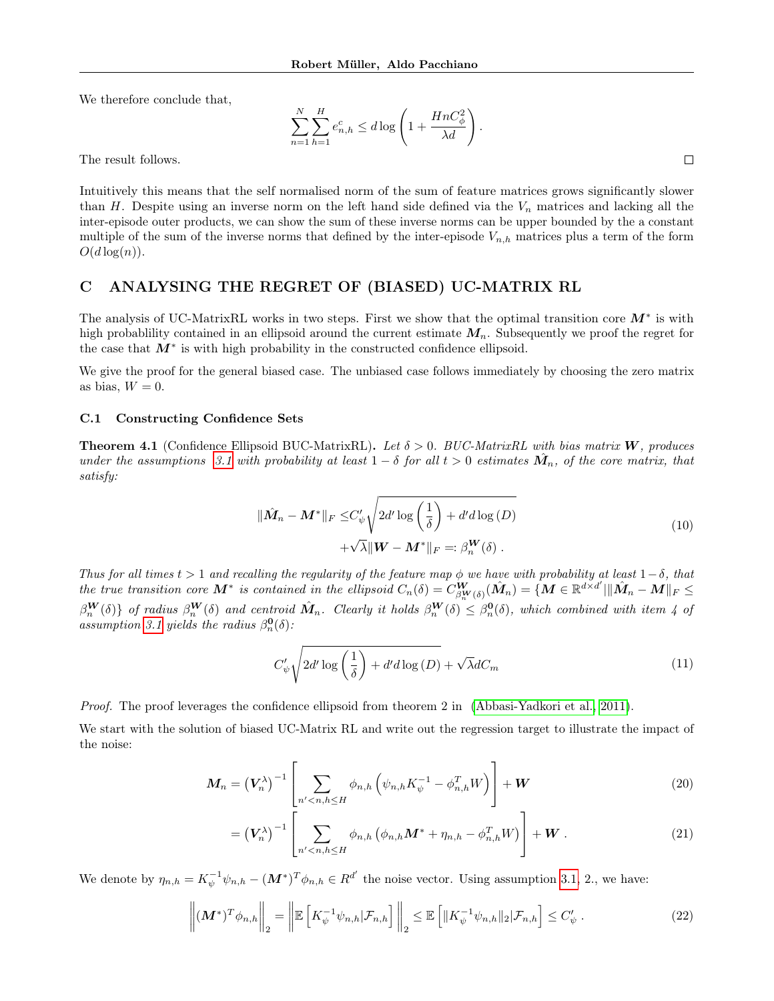We therefore conclude that,

$$
\sum_{n=1}^{N} \sum_{h=1}^{H} e_{n,h}^c \le d \log \left( 1 + \frac{HnC_{\phi}^2}{\lambda d} \right).
$$

The result follows.

Intuitively this means that the self normalised norm of the sum of feature matrices grows significantly slower than H. Despite using an inverse norm on the left hand side defined via the  $V_n$  matrices and lacking all the inter-episode outer products, we can show the sum of these inverse norms can be upper bounded by the a constant multiple of the sum of the inverse norms that defined by the inter-episode  $V_{n,h}$  matrices plus a term of the form  $O(d \log(n)).$ 

## <span id="page-12-1"></span>C ANALYSING THE REGRET OF (BIASED) UC-MATRIX RL

The analysis of UC-MatrixRL works in two steps. First we show that the optimal transition core  $M^*$  is with high probability contained in an ellipsoid around the current estimate  $M_n$ . Subsequently we proof the regret for the case that  $M^*$  is with high probability in the constructed confidence ellipsoid.

We give the proof for the general biased case. The unbiased case follows immediately by choosing the zero matrix as bias,  $W = 0$ .

#### <span id="page-12-0"></span>C.1 Constructing Confidence Sets

**Theorem 4.1** (Confidence Ellipsoid BUC-MatrixRL). Let  $\delta > 0$ . BUC-MatrixRL with bias matrix **W**, produces under the assumptions [3.1](#page-2-1) with probability at least  $1-\delta$  for all  $t>0$  estimates  $\hat{M}_n$ , of the core matrix, that satisfy:

$$
\|\hat{M}_n - \mathbf{M}^*\|_F \le C'_\psi \sqrt{2d' \log\left(\frac{1}{\delta}\right) + d'd \log\left(D\right)}
$$
  
+ $\sqrt{\lambda} \|\mathbf{W} - \mathbf{M}^*\|_F =: \beta_n^{\mathbf{W}}(\delta).$  (10)

Thus for all times  $t > 1$  and recalling the regularity of the feature map  $\phi$  we have with probability at least  $1-\delta$ , that the true transition core  $M^*$  is contained in the ellipsoid  $C_n(\delta) = C_{\beta_n^W(\delta)}^W(\hat{M}_n) = \{ M \in \mathbb{R}^{d \times d'} | \| \hat{M}_n - M \|_F \leq$  $\beta_n^{\mathbf{W}}(\delta)$  of radius  $\beta_n^{\mathbf{W}}(\delta)$  and centroid  $\hat{\mathbf{M}}_n$ . Clearly it holds  $\beta_n^{\mathbf{W}}(\delta) \leq \beta_n^{\mathbf{0}}(\delta)$ , which combined with item 4 of assumption [3.1](#page-2-1) yields the radius  $\beta_n^{\mathbf{0}}(\delta)$ :

$$
C'_{\psi} \sqrt{2d' \log\left(\frac{1}{\delta}\right) + d'd \log\left(D\right)} + \sqrt{\lambda} dC_m \tag{11}
$$

Proof. The proof leverages the confidence ellipsoid from theorem 2 in [\(Abbasi-Yadkori et al., 2011\)](#page-8-12).

We start with the solution of biased UC-Matrix RL and write out the regression target to illustrate the impact of the noise:

$$
\boldsymbol{M}_n = \left(\boldsymbol{V}_n^{\lambda}\right)^{-1} \left[\sum_{n' < n,h \le H} \phi_{n,h} \left(\psi_{n,h} \boldsymbol{K}_{\psi}^{-1} - \phi_{n,h}^T \boldsymbol{W}\right)\right] + \boldsymbol{W} \tag{20}
$$

$$
= \left(V_n^{\lambda}\right)^{-1} \left[\sum_{n' < n,h \leq H} \phi_{n,h} \left(\phi_{n,h} \mathbf{M}^* + \eta_{n,h} - \phi_{n,h}^T W\right)\right] + \mathbf{W} \,. \tag{21}
$$

We denote by  $\eta_{n,h} = K_{\psi}^{-1} \psi_{n,h} - (M^*)^T \phi_{n,h} \in R^{d'}$  the noise vector. Using assumption [3.1,](#page-2-1) 2., we have:

$$
\left\| (\boldsymbol{M}^*)^T \phi_{n,h} \right\|_2 = \left\| \mathbb{E} \left[ K_{\psi}^{-1} \psi_{n,h} | \mathcal{F}_{n,h} \right] \right\|_2 \leq \mathbb{E} \left[ \| K_{\psi}^{-1} \psi_{n,h} \|_2 | \mathcal{F}_{n,h} \right] \leq C_{\psi}' \,. \tag{22}
$$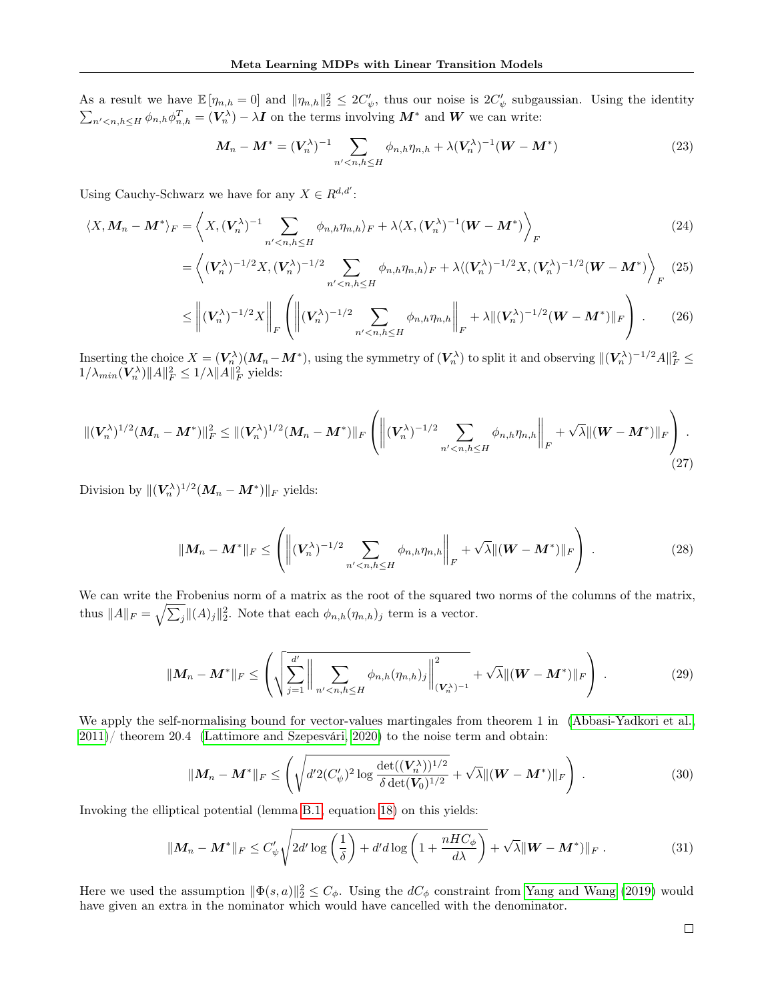As a result we have  $\mathbb{E}[\eta_{n,h}=0]$  and  $\|\eta_{n,h}\|_2^2 \leq 2C'_{\psi}$ , thus our noise is  $2C'_{\psi}$  subgaussian. Using the identity  $\sum_{n' < n,h \leq H} \phi_{n,h} \phi_{n,h}^T = (\mathbf{V}_n^{\lambda}) - \lambda \mathbf{I}$  on the terms involving  $\mathbf{M}^*$  and  $\mathbf{W}$  we can write:

$$
\boldsymbol{M}_n - \boldsymbol{M}^* = (\boldsymbol{V}_n^{\lambda})^{-1} \sum_{n' < n, h \le H} \phi_{n,h} \eta_{n,h} + \lambda (\boldsymbol{V}_n^{\lambda})^{-1} (\boldsymbol{W} - \boldsymbol{M}^*) \tag{23}
$$

Using Cauchy-Schwarz we have for any  $X \in R^{d,d'}$ :

$$
\langle X, \mathbf{M}_n - \mathbf{M}^* \rangle_F = \left\langle X, (\mathbf{V}_n^{\lambda})^{-1} \sum_{n' < n, h \le H} \phi_{n,h} \eta_{n,h} \rangle_F + \lambda \langle X, (\mathbf{V}_n^{\lambda})^{-1} (\mathbf{W} - \mathbf{M}^*) \right\rangle_F \tag{24}
$$

$$
= \left\langle (\boldsymbol{V}_n^{\lambda})^{-1/2} X, (\boldsymbol{V}_n^{\lambda})^{-1/2} \sum_{n' < n, h \le H} \phi_{n,h} \eta_{n,h} \rangle_F + \lambda \langle (\boldsymbol{V}_n^{\lambda})^{-1/2} X, (\boldsymbol{V}_n^{\lambda})^{-1/2} (\boldsymbol{W} - \boldsymbol{M}^*) \right\rangle_F \tag{25}
$$

$$
\leq \left\| (\boldsymbol{V}_n^{\lambda})^{-1/2} X \right\|_F \left( \left\| (\boldsymbol{V}_n^{\lambda})^{-1/2} \sum_{n' < n, h \leq H} \phi_{n,h} \eta_{n,h} \right\|_F + \lambda \| (\boldsymbol{V}_n^{\lambda})^{-1/2} (\boldsymbol{W} - \boldsymbol{M}^*) \|_F \right) \ . \tag{26}
$$

 $\text{Inserting the choice } X = (V_n^{\lambda})(M_n - M^*), \text{ using the symmetry of } (V_n^{\lambda}) \text{ to split it and observing } ||(V_n^{\lambda})^{-1/2}A||_F^2 \leq$  $1/\lambda_{min}(\boldsymbol{V}_n^{\lambda})||A||_F^2 \leq 1/\lambda ||A||_F^2$  yields:

$$
\|(\boldsymbol{V}_n^{\lambda})^{1/2}(\boldsymbol{M}_n - \boldsymbol{M}^*)\|_F^2 \leq \|(\boldsymbol{V}_n^{\lambda})^{1/2}(\boldsymbol{M}_n - \boldsymbol{M}^*)\|_F \left( \left\|(\boldsymbol{V}_n^{\lambda})^{-1/2} \sum_{n' < n,h \leq H} \phi_{n,h} \eta_{n,h} \right\|_F + \sqrt{\lambda} \|( \boldsymbol{W} - \boldsymbol{M}^*)\|_F \right). \tag{27}
$$

Division by  $\|(V_n^{\lambda})^{1/2}(M_n - M^*)\|_F$  yields:

$$
\|\boldsymbol{M}_n - \boldsymbol{M}^*\|_F \le \left( \left\| (\boldsymbol{V}_n^{\lambda})^{-1/2} \sum_{n' < n, h \le H} \phi_{n,h} \eta_{n,h} \right\|_F + \sqrt{\lambda} \| (\boldsymbol{W} - \boldsymbol{M}^*) \|_F \right) \,. \tag{28}
$$

We can write the Frobenius norm of a matrix as the root of the squared two norms of the columns of the matrix, thus  $||A||_F = \sqrt{\sum_j} ||(A)_j||_2^2$ . Note that each  $\phi_{n,h}(\eta_{n,h})_j$  term is a vector.

$$
||M_n - M^*||_F \le \left( \sqrt{\sum_{j=1}^{d'} || \sum_{n' < n, h \le H} \phi_{n,h}(\eta_{n,h})_j ||_{(V_n^{\lambda})^{-1}}^2} + \sqrt{\lambda} ||(W - M^*)||_F \right) . \tag{29}
$$

We apply the self-normalising bound for vector-values martingales from theorem 1 in [\(Abbasi-Yadkori et al.,](#page-8-12)  $2011$ / theorem 20.4 [\(Lattimore and Szepesvári, 2020\)](#page-9-17) to the noise term and obtain:

$$
\|\boldsymbol{M}_n - \boldsymbol{M}^*\|_F \le \left(\sqrt{d'^2(C'_\psi)^2 \log \frac{\det((\boldsymbol{V}_n^\lambda))^{1/2}}{\delta \det(\boldsymbol{V}_0)^{1/2}}} + \sqrt{\lambda} \|(\boldsymbol{W} - \boldsymbol{M}^*)\|_F\right) . \tag{30}
$$

Invoking the elliptical potential (lemma [B.1,](#page-10-2) equation [18\)](#page-11-1) on this yields:

$$
\|M_n - \mathbf{M}^*\|_F \le C'_\psi \sqrt{2d' \log\left(\frac{1}{\delta}\right) + d'd \log\left(1 + \frac{nHC_\phi}{d\lambda}\right)} + \sqrt{\lambda} \|W - \mathbf{M}^*)\|_F. \tag{31}
$$

Here we used the assumption  $\|\Phi(s,a)\|_2^2 \leq C_{\phi}$ . Using the  $dC_{\phi}$  constraint from [Yang and Wang](#page-9-0) [\(2019\)](#page-9-0) would have given an extra in the nominator which would have cancelled with the denominator.

 $\Box$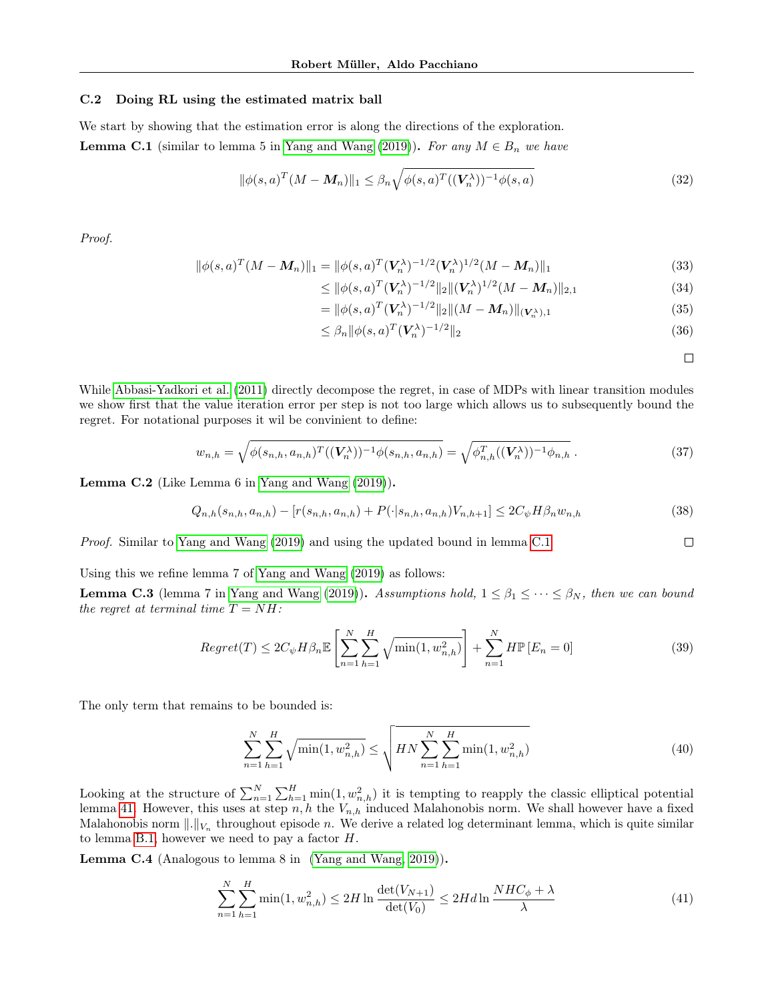#### <span id="page-14-0"></span>C.2 Doing RL using the estimated matrix ball

We start by showing that the estimation error is along the directions of the exploration. **Lemma C.1** (similar to lemma 5 in [Yang and Wang](#page-9-0) [\(2019\)](#page-9-0)). For any  $M \in B_n$  we have

$$
\|\phi(s,a)^T(M - M_n)\|_1 \leq \beta_n \sqrt{\phi(s,a)^T((V_n^{\lambda}))^{-1}\phi(s,a)}
$$
\n(32)

Proof.

$$
\|\phi(s,a)^{T}(M-M_{n})\|_{1} = \|\phi(s,a)^{T}(V_{n}^{\lambda})^{-1/2}(V_{n}^{\lambda})^{1/2}(M-M_{n})\|_{1}
$$
\n(33)

$$
\leq \|\phi(s,a)^T (\mathbf{V}_n^{\lambda})^{-1/2} \|_2 \|(\mathbf{V}_n^{\lambda})^{1/2} (M - M_n) \|_{2,1}
$$
\n(34)

$$
= \|\phi(s,a)^T (\mathbf{V}_n^{\lambda})^{-1/2} \|_2 \| (M - \mathbf{M}_n) \|_{(\mathbf{V}_n^{\lambda}),1}
$$
\n(35)

$$
\leq \beta_n \|\phi(s, a)^T (\mathbf{V}_n^{\lambda})^{-1/2}\|_2 \tag{36}
$$

<span id="page-14-1"></span> $\Box$ 

<span id="page-14-3"></span><span id="page-14-2"></span> $\Box$ 

While [Abbasi-Yadkori et al.](#page-8-12) [\(2011\)](#page-8-12) directly decompose the regret, in case of MDPs with linear transition modules we show first that the value iteration error per step is not too large which allows us to subsequently bound the regret. For notational purposes it wil be convinient to define:

$$
w_{n,h} = \sqrt{\phi(s_{n,h}, a_{n,h})^T ((\mathbf{V}_n^{\lambda}))^{-1} \phi(s_{n,h}, a_{n,h})} = \sqrt{\phi_{n,h}^T ((\mathbf{V}_n^{\lambda}))^{-1} \phi_{n,h}}.
$$
\n(37)

Lemma C.2 (Like Lemma 6 in [Yang and Wang](#page-9-0) [\(2019\)](#page-9-0)).

$$
Q_{n,h}(s_{n,h}, a_{n,h}) - [r(s_{n,h}, a_{n,h}) + P(\cdot|s_{n,h}, a_{n,h})V_{n,h+1}] \le 2C_{\psi}H\beta_n w_{n,h}
$$
\n(38)

Proof. Similar to [Yang and Wang](#page-9-0) [\(2019\)](#page-9-0) and using the updated bound in lemma [C.1](#page-14-1)

Using this we refine lemma 7 of [Yang and Wang](#page-9-0) [\(2019\)](#page-9-0) as follows:

**Lemma C.3** (lemma 7 in [Yang and Wang](#page-9-0) [\(2019\)](#page-9-0)). Assumptions hold,  $1 \leq \beta_1 \leq \cdots \leq \beta_N$ , then we can bound the regret at terminal time  $T = NH$ :

$$
Regret(T) \leq 2C_{\psi}H\beta_n \mathbb{E}\left[\sum_{n=1}^{N} \sum_{h=1}^{H} \sqrt{\min(1, w_{n,h}^2)}\right] + \sum_{n=1}^{N} H\mathbb{P}\left[E_n = 0\right]
$$
\n(39)

The only term that remains to be bounded is:

$$
\sum_{n=1}^{N} \sum_{h=1}^{H} \sqrt{\min(1, w_{n,h}^2)} \le \sqrt{H N \sum_{n=1}^{N} \sum_{h=1}^{H} \min(1, w_{n,h}^2)}
$$
(40)

Looking at the structure of  $\sum_{n=1}^{N} \sum_{h=1}^{H} \min(1, w_{n,h}^2)$  it is tempting to reapply the classic elliptical potential lemma [41.](#page-14-2) However, this uses at step  $n, h$  the  $V_{n,h}$  induced Malahonobis norm. We shall however have a fixed Malahonobis norm  $\|.\|_{V_n}$  throughout episode n. We derive a related log determinant lemma, which is quite similar to lemma [B.1,](#page-10-2) however we need to pay a factor  $H$ .

Lemma C.4 (Analogous to lemma 8 in [\(Yang and Wang, 2019\)](#page-9-0)).

$$
\sum_{n=1}^{N} \sum_{h=1}^{H} \min(1, w_{n,h}^2) \le 2H \ln \frac{\det(V_{N+1})}{\det(V_0)} \le 2H d \ln \frac{NHC_{\phi} + \lambda}{\lambda}
$$
(41)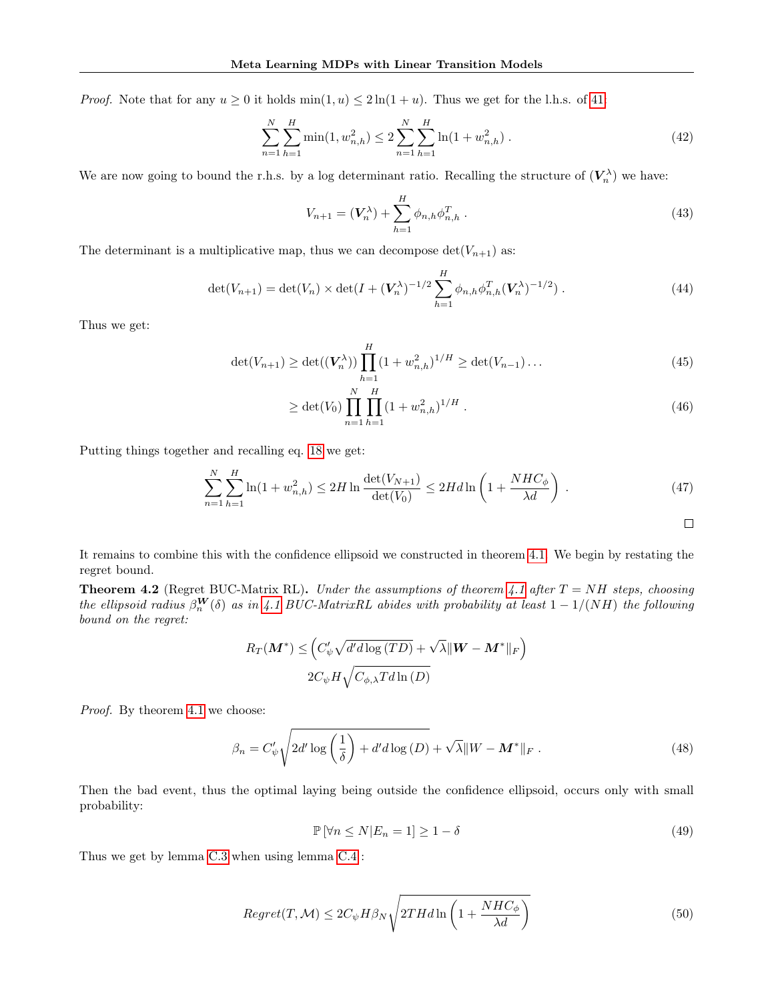*Proof.* Note that for any  $u \ge 0$  it holds  $\min(1, u) \le 2\ln(1 + u)$ . Thus we get for the l.h.s. of [41:](#page-14-2)

$$
\sum_{n=1}^{N} \sum_{h=1}^{H} \min(1, w_{n,h}^2) \le 2 \sum_{n=1}^{N} \sum_{h=1}^{H} \ln(1 + w_{n,h}^2).
$$
 (42)

We are now going to bound the r.h.s. by a log determinant ratio. Recalling the structure of  $(V_n^{\lambda})$  we have:

$$
V_{n+1} = (V_n^{\lambda}) + \sum_{h=1}^{H} \phi_{n,h} \phi_{n,h}^T.
$$
 (43)

The determinant is a multiplicative map, thus we can decompose  $\det(V_{n+1})$  as:

$$
\det(V_{n+1}) = \det(V_n) \times \det(I + (V_n^{\lambda})^{-1/2} \sum_{h=1}^{H} \phi_{n,h} \phi_{n,h}^T (V_n^{\lambda})^{-1/2}). \tag{44}
$$

Thus we get:

$$
\det(V_{n+1}) \ge \det((V_n^{\lambda})) \prod_{h=1}^H (1 + w_{n,h}^2)^{1/H} \ge \det(V_{n-1}) \dots \tag{45}
$$

$$
\geq \det(V_0) \prod_{n=1}^{N} \prod_{h=1}^{H} (1 + w_{n,h}^2)^{1/H} . \tag{46}
$$

Putting things together and recalling eq. [18](#page-11-1) we get:

$$
\sum_{n=1}^{N} \sum_{h=1}^{H} \ln(1 + w_{n,h}^2) \le 2H \ln \frac{\det(V_{N+1})}{\det(V_0)} \le 2H d \ln \left(1 + \frac{NHC_{\phi}}{\lambda d}\right) \,. \tag{47}
$$

It remains to combine this with the confidence ellipsoid we constructed in theorem [4.1.](#page-4-1) We begin by restating the regret bound.

**Theorem 4.2** (Regret BUC-Matrix RL). Under the assumptions of theorem [4.1](#page-4-1) after  $T = NH$  steps, choosing the ellipsoid radius  $\beta_n^{\mathbf{W}}(\delta)$  as in [4.1](#page-4-1) BUC-MatrixRL abides with probability at least  $1-1/(NH)$  the following bound on the regret:

$$
R_T(\mathbf{M}^*) \leq \left(C'_{\psi} \sqrt{d' d \log(TD)} + \sqrt{\lambda} ||\mathbf{W} - \mathbf{M}^*||_F\right)
$$
  

$$
2C_{\psi} H \sqrt{C_{\phi,\lambda} T d \ln(D)}
$$

Proof. By theorem [4.1](#page-4-1) we choose:

$$
\beta_n = C'_{\psi} \sqrt{2d' \log \left(\frac{1}{\delta}\right) + d'd \log \left(D\right)} + \sqrt{\lambda} \|W - \mathbf{M}^*\|_F. \tag{48}
$$

Then the bad event, thus the optimal laying being outside the confidence ellipsoid, occurs only with small probability:

$$
\mathbb{P}\left[\forall n \le N | E_n = 1\right] \ge 1 - \delta \tag{49}
$$

Thus we get by lemma [C.3](#page-14-3) when using lemma [C.4](#page-14-2) :

$$
Regret(T, \mathcal{M}) \le 2C_{\psi}H\beta_N\sqrt{2THd\ln\left(1 + \frac{NHC_{\phi}}{\lambda d}\right)}
$$
(50)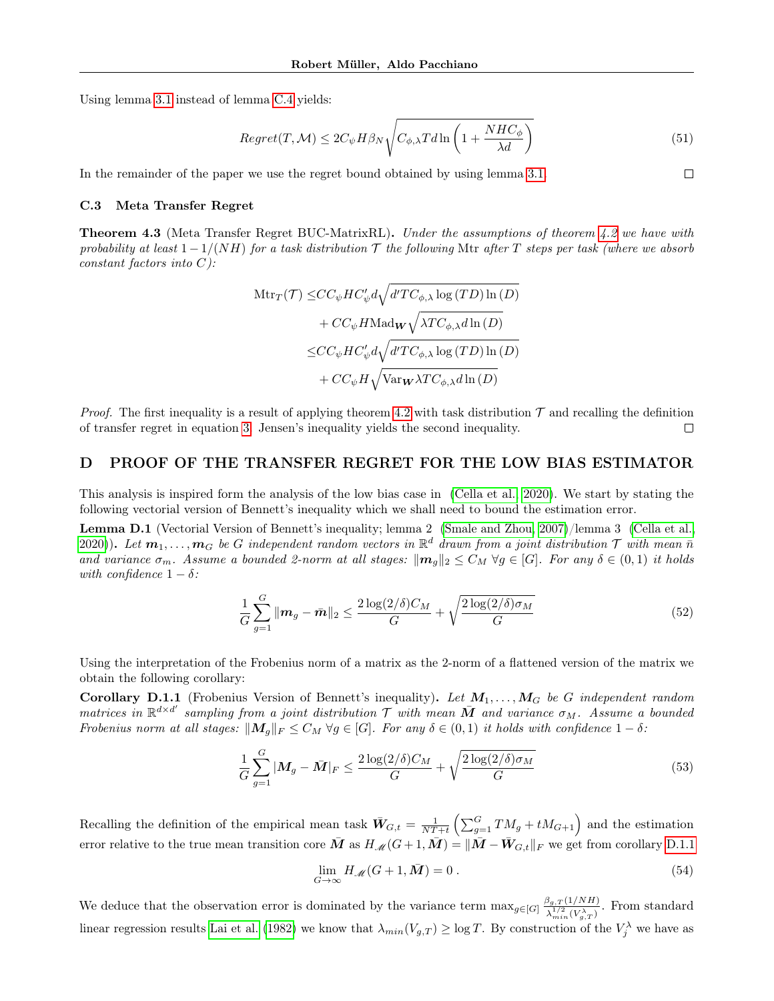Using lemma [3.1](#page-3-4) instead of lemma [C.4](#page-14-2) yields:

$$
Regret(T, \mathcal{M}) \le 2C_{\psi} H \beta_N \sqrt{C_{\phi, \lambda} T d \ln \left(1 + \frac{NHC_{\phi}}{\lambda d}\right)}
$$
(51)

 $\Box$ 

In the remainder of the paper we use the regret bound obtained by using lemma [3.1.](#page-3-4)

#### <span id="page-16-1"></span>C.3 Meta Transfer Regret

**Theorem 4.3** (Meta Transfer Regret BUC-MatrixRL). Under the assumptions of theorem [4.2](#page-4-0) we have with probability at least  $1 - 1/(NH)$  for a task distribution T the following Mtr after T steps per task (where we absorb constant factors into  $C$ ):

$$
\begin{aligned} \mathrm{Mtr}_T(\mathcal{T}) \leq & CC_{\psi}HC'_{\psi}d\sqrt{d'TC_{\phi,\lambda}\log\left(TD\right)\ln\left(D\right)}\\ & + CC_{\psi}H\mathrm{Mad}_{\mathbf{W}}\sqrt{\lambda TC_{\phi,\lambda}d\ln\left(D\right)}\\ \leq & CC_{\psi}HC'_{\psi}d\sqrt{d'TC_{\phi,\lambda}\log\left(TD\right)\ln\left(D\right)}\\ & + CC_{\psi}H\sqrt{\mathrm{Var}_{\mathbf{W}}\lambda TC_{\phi,\lambda}d\ln\left(D\right)} \end{aligned}
$$

*Proof.* The first inequality is a result of applying theorem [4.2](#page-4-0) with task distribution  $\mathcal T$  and recalling the definition of transfer regret in equation [3.](#page-2-2) Jensen's inequality yields the second inequality.  $\Box$ 

## <span id="page-16-0"></span>D PROOF OF THE TRANSFER REGRET FOR THE LOW BIAS ESTIMATOR

This analysis is inspired form the analysis of the low bias case in [\(Cella et al., 2020\)](#page-8-7). We start by stating the following vectorial version of Bennett's inequality which we shall need to bound the estimation error.

Lemma D.1 (Vectorial Version of Bennett's inequality; lemma 2 [\(Smale and Zhou, 2007\)](#page-9-18)/lemma 3 [\(Cella et al.,](#page-8-7) [2020\)](#page-8-7)). Let  $m_1, \ldots, m_G$  be G independent random vectors in  $\mathbb{R}^d$  drawn from a joint distribution  $\mathcal T$  with mean  $\bar n$ and variance  $\sigma_m$ . Assume a bounded 2-norm at all stages:  $\|\mathbf{m}_q\|_2 \leq C_M \ \forall g \in [G]$ . For any  $\delta \in (0,1)$  it holds with confidence  $1 - \delta$ :

$$
\frac{1}{G}\sum_{g=1}^{G} \|\mathbf{m}_g - \bar{\mathbf{m}}\|_2 \le \frac{2\log(2/\delta)C_M}{G} + \sqrt{\frac{2\log(2/\delta)\sigma_M}{G}}\tag{52}
$$

Using the interpretation of the Frobenius norm of a matrix as the 2-norm of a flattened version of the matrix we obtain the following corollary:

**Corollary D.1.1** (Frobenius Version of Bennett's inequality). Let  $M_1, \ldots, M_G$  be G independent random matrices in  $\mathbb{R}^{d \times d'}$  sampling from a joint distribution  $\mathcal T$  with mean  $\bar M$  and variance  $\sigma_M$ . Assume a bounded Frobenius norm at all stages:  $||M_q||_F \leq C_M \forall g \in [G]$ . For any  $\delta \in (0,1)$  it holds with confidence  $1-\delta$ :

$$
\frac{1}{G} \sum_{g=1}^{G} |\mathbf{M}_g - \bar{\mathbf{M}}|_F \le \frac{2 \log(2/\delta) C_M}{G} + \sqrt{\frac{2 \log(2/\delta) \sigma_M}{G}} \tag{53}
$$

Recalling the definition of the empirical mean task  $\bar{W}_{G,t} = \frac{1}{NT+t} \left( \sum_{g=1}^{G} TM_g + tM_{G+1} \right)$  and the estimation error relative to the true mean transition core  $\bar{M}$  as  $H_M(G+1,\bar{M}) = ||\bar{M} - \bar{W}_{G,t}||_F$  we get from corollary [D.1.1](#page-16-2)

<span id="page-16-2"></span>
$$
\lim_{G \to \infty} H_{\mathcal{M}}(G+1, \bar{M}) = 0.
$$
\n(54)

We deduce that the observation error is dominated by the variance term  $\max_{g \in [G]} \frac{\beta_{g,T}(1/NH)}{\lambda^{1/2} (N\lambda)}$  $\lambda_{\min}^{(1)}(V_{g,T}^{\lambda})$ . From standard linear regression results [Lai et al.](#page-9-19) [\(1982\)](#page-9-19) we know that  $\lambda_{min}(V_{g,T}) \ge \log T$ . By construction of the  $V_j^{\lambda}$  we have as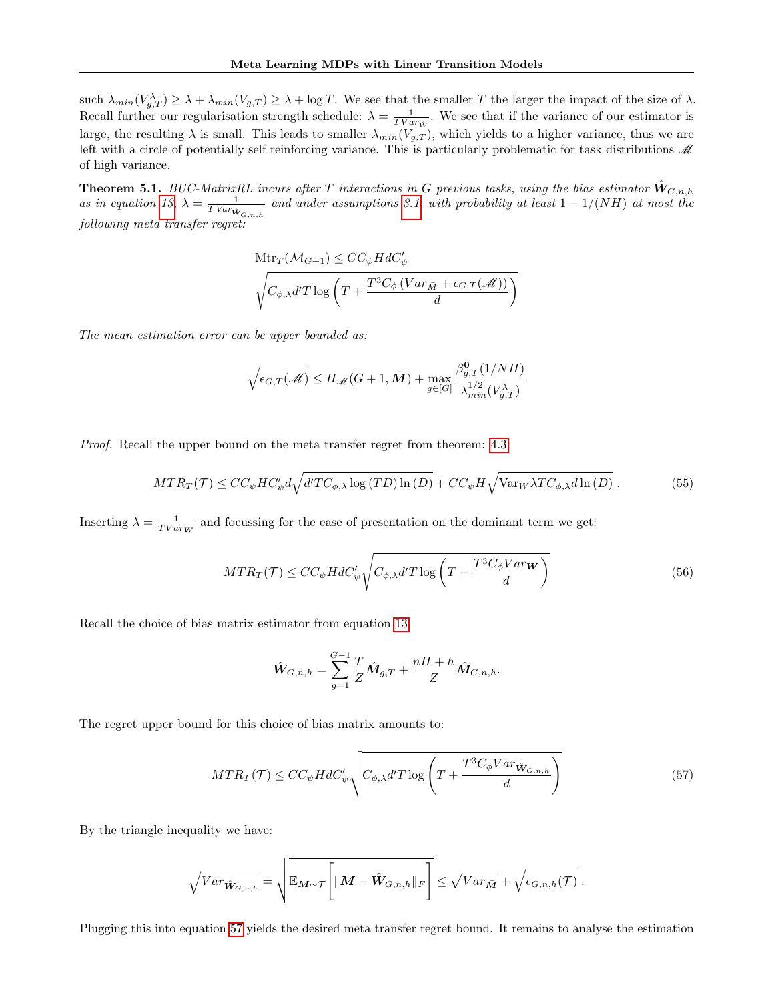such  $\lambda_{min}(V_{g,T}) \geq \lambda + \lambda_{min}(V_{g,T}) \geq \lambda + \log T$ . We see that the smaller T the larger the impact of the size of  $\lambda$ . Recall further our regularisation strength schedule:  $\lambda = \frac{1}{TVar_{\hat{W}}}$ . We see that if the variance of our estimator is large, the resulting  $\lambda$  is small. This leads to smaller  $\lambda_{min}(V_{g,T})$ , which yields to a higher variance, thus we are left with a circle of potentially self reinforcing variance. This is particularly problematic for task distributions  $\mathcal M$ of high variance.

**Theorem 5.1.** BUC-MatrixRL incurs after T interactions in G previous tasks, using the bias estimator  $\hat{W}_{G,n,h}$ as in equation [13,](#page-6-0)  $\lambda = \frac{1}{TVar_{W_{G,n,h}}}$  and under assumptions [3.1,](#page-2-1) with probability at least  $1-1/(NH)$  at most the following meta transfer regret:

$$
\begin{aligned} &\text{Mtr}_{T}(\mathcal{M}_{G+1}) \leq CC_{\psi}HdC_{\psi}'\\ &\sqrt{C_{\phi,\lambda}d'T\log\left(T + \frac{T^{3}C_{\phi}\left(Var_{\bar{M}} + \epsilon_{G,T}(\mathcal{M})\right)}{d}\right)}\end{aligned}
$$

The mean estimation error can be upper bounded as:

$$
\sqrt{\epsilon_{G,T}(\mathcal{M})} \leq H_{\mathcal{M}}(G+1,\bar{M}) + \max_{g \in [G]} \frac{\beta_{g,T}^{\mathbf{0}}(1/NH)}{\lambda_{min}^{1/2}(V_{g,T}^{\lambda})}
$$

Proof. Recall the upper bound on the meta transfer regret from theorem: [4.3:](#page-4-2)

$$
MTR_T(\mathcal{T}) \le CC_\psi HC'_\psi d\sqrt{d'TC_{\phi,\lambda} \log(TD)\ln(D)} + CC_\psi H \sqrt{\text{Var}_W \lambda TC_{\phi,\lambda} d\ln(D)}.
$$
 (55)

Inserting  $\lambda = \frac{1}{TVar_{\mathbf{W}}}$  and focussing for the ease of presentation on the dominant term we get:

$$
MTR_T(\mathcal{T}) \le CC_\psi H dC'_\psi \sqrt{C_{\phi,\lambda} d'T \log \left(T + \frac{T^3 C_\phi Var_W}{d}\right)}
$$
(56)

Recall the choice of bias matrix estimator from equation [13](#page-6-0)

<span id="page-17-0"></span>
$$
\hat{W}_{G,n,h} = \sum_{g=1}^{G-1} \frac{T}{Z} \hat{M}_{g,T} + \frac{nH + h}{Z} \hat{M}_{G,n,h}.
$$

The regret upper bound for this choice of bias matrix amounts to:

$$
MTR_T(\mathcal{T}) \le CC_\psi H dC'_\psi \sqrt{C_{\phi,\lambda} d'T \log \left(T + \frac{T^3 C_\phi Var_{\hat{\mathbf{W}}_{G,n,h}}}{d}\right)}
$$
(57)

By the triangle inequality we have:

$$
\sqrt{Var_{\hat{\mathbf{W}}_{G,n,h}}} = \sqrt{\mathbb{E}_{\mathbf{M}\sim\mathcal{T}}\Bigg[\|\mathbf{M}-\hat{\mathbf{W}}_{G,n,h}\|_{F}\Bigg]} \leq \sqrt{Var_{\bar{\mathbf{M}}}} + \sqrt{\epsilon_{G,n,h}(\mathcal{T})}.
$$

Plugging this into equation [57](#page-17-0) yields the desired meta transfer regret bound. It remains to analyse the estimation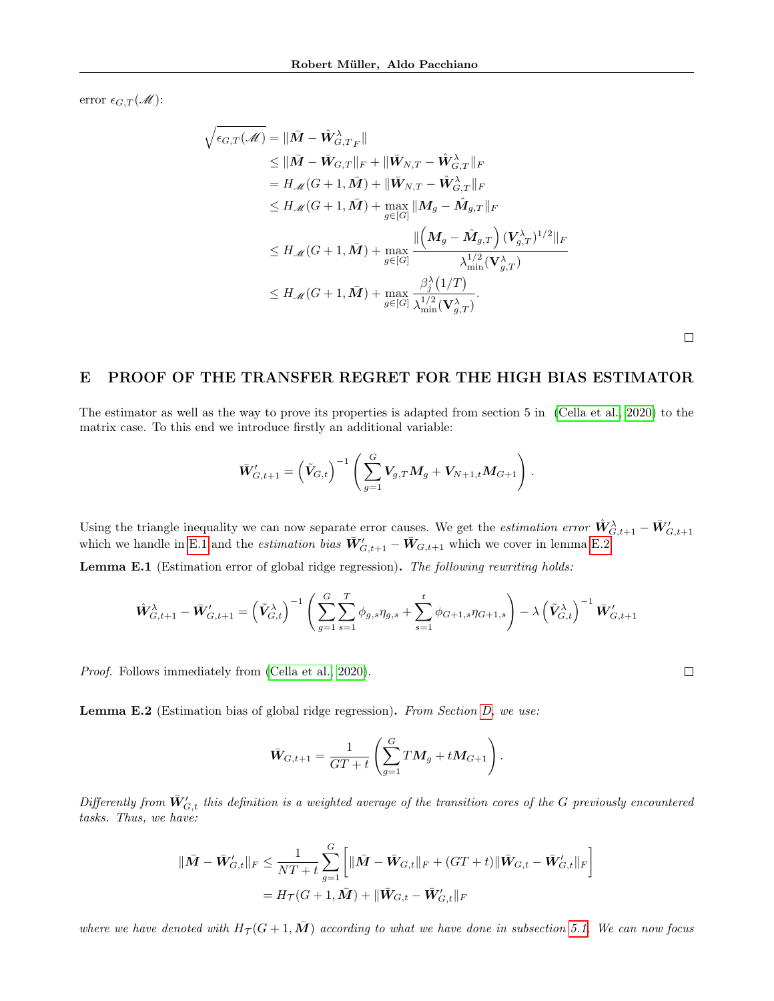error  $\epsilon_{G,T}(\mathcal{M})$ :

$$
\sqrt{\epsilon_{G,T}(\mathcal{M})} = \|\bar{M} - \hat{W}_{G,T_F}^{\lambda}\|
$$
\n
$$
\leq \|\bar{M} - \bar{W}_{G,T}\|_F + \|\bar{W}_{N,T} - \hat{W}_{G,T}^{\lambda}\|_F
$$
\n
$$
= H_{\mathcal{M}}(G+1, \bar{M}) + \|\bar{W}_{N,T} - \hat{W}_{G,T}^{\lambda}\|_F
$$
\n
$$
\leq H_{\mathcal{M}}(G+1, \bar{M}) + \max_{g \in [G]} \|M_g - \hat{M}_{g,T}\|_F
$$
\n
$$
\leq H_{\mathcal{M}}(G+1, \bar{M}) + \max_{g \in [G]} \frac{\|\left(M_g - \hat{M}_{g,T}\right) (V_{g,T}^{\lambda})^{1/2}\|_F}{\lambda_{\min}^{1/2} (\mathbf{V}_{g,T}^{\lambda})}
$$
\n
$$
\leq H_{\mathcal{M}}(G+1, \bar{M}) + \max_{g \in [G]} \frac{\beta_j^{\lambda}(1/T)}{\lambda_{\min}^{1/2} (\mathbf{V}_{g,T}^{\lambda})}.
$$

 $\Box$ 

 $\Box$ 

# <span id="page-18-0"></span>E PROOF OF THE TRANSFER REGRET FOR THE HIGH BIAS ESTIMATOR

The estimator as well as the way to prove its properties is adapted from section 5 in [\(Cella et al., 2020\)](#page-8-7) to the matrix case. To this end we introduce firstly an additional variable:

$$
\bar{\bm{W}}'_{G,t+1} = \left(\tilde{\bm{V}}_{G,t}\right)^{-1} \left(\sum_{g=1}^G \bm{V}_{g,T} \bm{M}_g + \bm{V}_{N+1,t} \bm{M}_{G+1}\right).
$$

Using the triangle inequality we can now separate error causes. We get the *estimation error*  $\hat{W}_{G,t+1}^{\lambda} - \bar{W}_{G,t+1}^{\prime}$  which we handle in [E.1](#page-18-1) and the *estimation bias*  $\bar{W}_{G,t+1}^{\prime} - \bar{W}_{G,t+1}$  which we cover in

<span id="page-18-1"></span>Lemma E.1 (Estimation error of global ridge regression). The following rewriting holds:

$$
\hat{\mathbf{W}}_{G,t+1}^{\lambda} - \bar{\mathbf{W}}_{G,t+1}^{\prime} = \left(\tilde{\mathbf{V}}_{G,t}^{\lambda}\right)^{-1} \left(\sum_{g=1}^{G} \sum_{s=1}^{T} \phi_{g,s} \eta_{g,s} + \sum_{s=1}^{t} \phi_{G+1,s} \eta_{G+1,s}\right) - \lambda \left(\tilde{\mathbf{V}}_{G,t}^{\lambda}\right)^{-1} \bar{\mathbf{W}}_{G,t+1}^{\prime}
$$

Proof. Follows immediately from [\(Cella et al., 2020\)](#page-8-7).

<span id="page-18-2"></span>**Lemma E.2** (Estimation bias of global ridge regression). From Section [D,](#page-16-0) we use:

$$
\bar{W}_{G,t+1} = \frac{1}{GT+t} \left( \sum_{g=1}^{G} TM_g + tM_{G+1} \right).
$$

Differently from  $\bar{W}_{G,t}'$  this definition is a weighted average of the transition cores of the G previously encountered tasks. Thus, we have:

$$
\begin{aligned} \|\bar{M} - \bar{W}'_{G,t}\|_F &\leq \frac{1}{NT+t} \sum_{g=1}^G \left[ \|\bar{M} - \bar{W}_{G,t}\|_F + (GT+t) \|\bar{W}_{G,t} - \bar{W}'_{G,t}\|_F \right] \\ &= H_{\mathcal{T}}(G+1, \bar{M}) + \|\bar{W}_{G,t} - \bar{W}'_{G,t}\|_F \end{aligned}
$$

where we have denoted with  $H_T(G+1, M)$  according to what we have done in subsection [5.1.](#page-6-3) We can now focus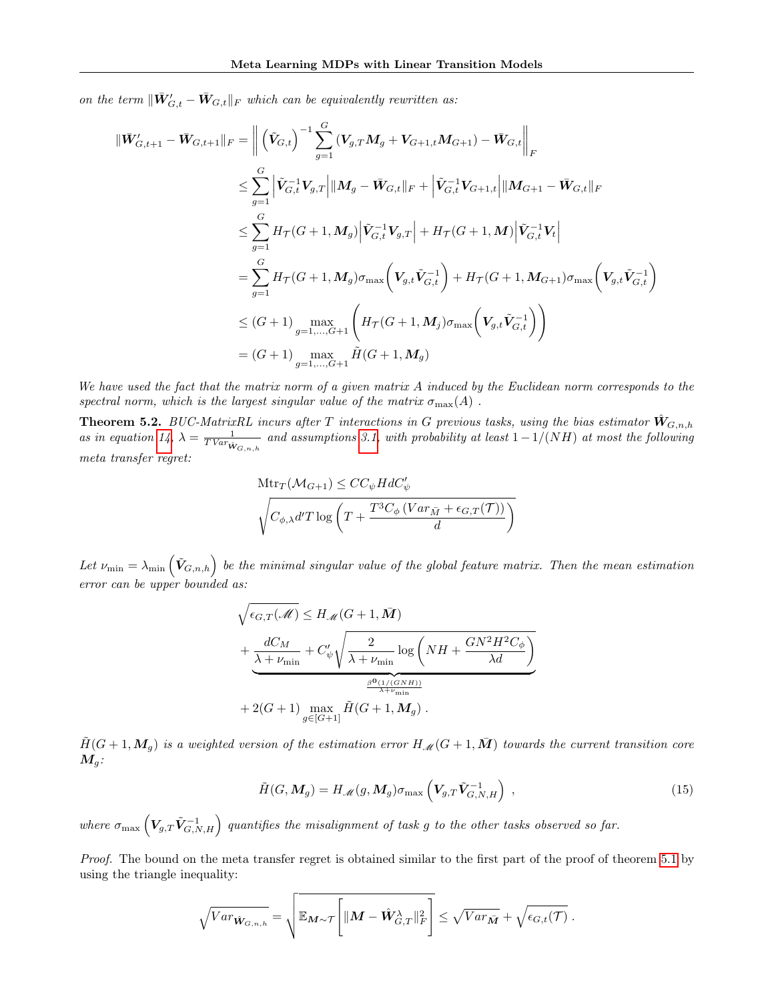on the term  $\|\bar{W}_{G,t}^{\prime} - \bar{W}_{G,t}\|_{F}$  which can be equivalently rewritten as:

$$
\begin{split}\n\|\bar{\mathbf{W}}'_{G,t+1} - \bar{\mathbf{W}}_{G,t+1}\|_{F} &= \left\| \left( \tilde{\mathbf{V}}_{G,t} \right)^{-1} \sum_{g=1}^{G} \left( \mathbf{V}_{g,T} \mathbf{M}_{g} + \mathbf{V}_{G+1,t} \mathbf{M}_{G+1} \right) - \bar{\mathbf{W}}_{G,t} \right\|_{F} \\
&\leq \sum_{g=1}^{G} \left| \tilde{\mathbf{V}}_{G,t}^{-1} \mathbf{V}_{g,T} \right| \| \mathbf{M}_{g} - \bar{\mathbf{W}}_{G,t} \|_{F} + \left| \tilde{\mathbf{V}}_{G,t}^{-1} \mathbf{V}_{G+1,t} \right| \| \mathbf{M}_{G+1} - \bar{\mathbf{W}}_{G,t} \|_{F} \\
&\leq \sum_{g=1}^{G} H_{\mathcal{T}}(G+1, \mathbf{M}_{g}) \left| \tilde{\mathbf{V}}_{G,t}^{-1} \mathbf{V}_{g,T} \right| + H_{\mathcal{T}}(G+1, \mathbf{M}) \left| \tilde{\mathbf{V}}_{G,t}^{-1} \mathbf{V}_{t} \right| \\
&= \sum_{g=1}^{G} H_{\mathcal{T}}(G+1, \mathbf{M}_{g}) \sigma_{\max} \left( \mathbf{V}_{g,t} \tilde{\mathbf{V}}_{G,t}^{-1} \right) + H_{\mathcal{T}}(G+1, \mathbf{M}_{G+1}) \sigma_{\max} \left( \mathbf{V}_{g,t} \tilde{\mathbf{V}}_{G,t}^{-1} \right) \\
&\leq (G+1) \max_{g=1,\dots,G+1} \left( H_{\mathcal{T}}(G+1, \mathbf{M}_{g}) \sigma_{\max} \left( \mathbf{V}_{g,t} \tilde{\mathbf{V}}_{G,t}^{-1} \right) \right) \\
&= (G+1) \max_{g=1,\dots,G+1} \tilde{H}(G+1, \mathbf{M}_{g})\n\end{split}
$$

We have used the fact that the matrix norm of a given matrix A induced by the Euclidean norm corresponds to the spectral norm, which is the largest singular value of the matrix  $\sigma_{\max}(A)$ .

**Theorem 5.2.** BUC-MatrixRL incurs after T interactions in G previous tasks, using the bias estimator  $\hat{W}_{G,n,h}$ as in equation [14,](#page-6-1)  $\lambda = \frac{1}{TVar_{\hat{W}_{G,n,h}}}$  and assumptions [3.1,](#page-2-1) with probability at least  $1-1/(NH)$  at most the following meta transfer regret:

$$
\begin{aligned} &\text{Mtr}_{T}(\mathcal{M}_{G+1}) \leq CC_{\psi} HdC_{\psi}' \\ &\sqrt{C_{\phi,\lambda} d'T \log \left(T + \frac{T^3 C_{\phi} \left(Var_{\bar{M}} + \epsilon_{G,T}(T)\right)}{d}\right)} \end{aligned}
$$

Let  $\nu_{\min} = \lambda_{\min} \left( \tilde{\mathbf{V}}_{G,n,h} \right)$  be the minimal singular value of the global feature matrix. Then the mean estimation error can be upper bounded as:

$$
\sqrt{\epsilon_{G,T}(\mathcal{M})} \leq H_{\mathcal{M}}(G+1,\bar{M}) + \underbrace{\frac{dC_M}{\lambda + \nu_{\min}} + C_{\psi}^{\prime}\sqrt{\frac{2}{\lambda + \nu_{\min}}}\log\left(NH + \frac{GN^2H^2C_{\phi}}{\lambda d}\right)}_{\frac{\beta^0(1/(GNH))}{\lambda + \nu_{\min}}} + 2(G+1)\max_{g \in [G+1]} \tilde{H}(G+1,\mathbf{M}_g).
$$

 $\tilde{H}(G+1,\mathbf{M}_q)$  is a weighted version of the estimation error  $H_{\mathscr{M}}(G+1,\bar{\mathbf{M}})$  towards the current transition core  $M_q$ :

$$
\tilde{H}(G, M_g) = H_{\mathscr{M}}(g, M_g) \sigma_{\max} \left( V_{g,T} \tilde{V}_{G,N,H}^{-1} \right) , \qquad (15)
$$

where  $\sigma_{\max}\left(\bm{V}_{g,T}\tilde{\bm{V}}^{-1}_{G,N,H}\right)$  quantifies the misalignment of task g to the other tasks observed so far.

Proof. The bound on the meta transfer regret is obtained similar to the first part of the proof of theorem [5.1](#page-6-2) by using the triangle inequality:

$$
\sqrt{Var_{\hat{\mathbf{W}}_{G,n,h}}} = \sqrt{\mathbb{E}_{\mathbf{M}\sim\mathcal{T}}\left[\|\mathbf{M}-\hat{\mathbf{W}}_{G,T}^{\lambda}\|_{F}^{2}\right]} \leq \sqrt{Var_{\bar{\mathbf{M}}}} + \sqrt{\epsilon_{G,t}(\mathcal{T})}.
$$